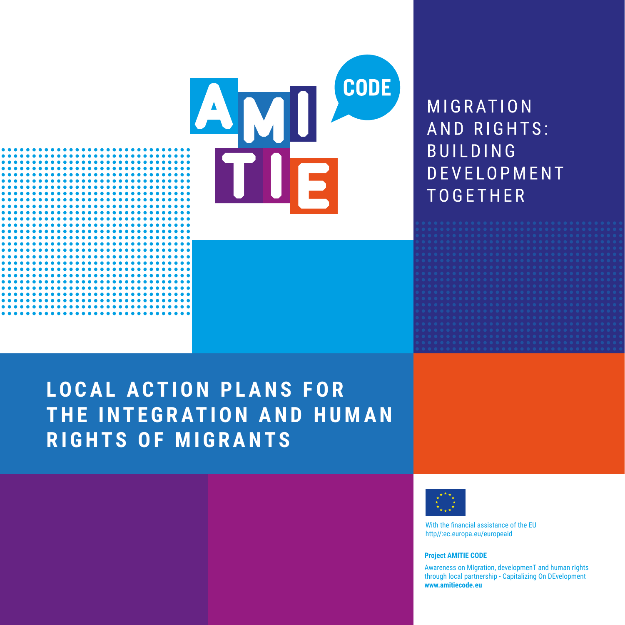

# **LOCAL ACTION PLANS FOR** THE INTEGRATION AND HUMAN **RIGHTS OF MIGRANTS**



With the financial assistance of the FII http//:ec.europa.eu/europeaid

#### **Project AMITIE CODE**

Awareness on Migration, developmenT and human rights through local partnership - Capitalizing On DEvelopment www.amitiecode.eu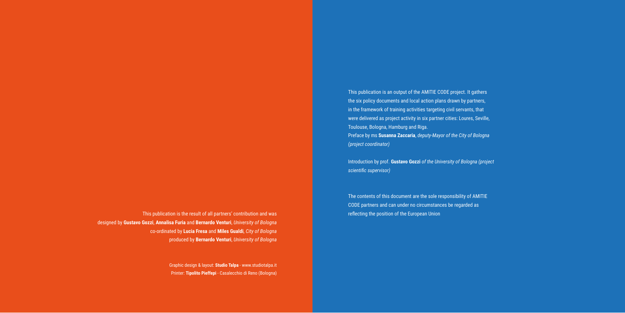This publication is the result of all partners' contribution and was designed by **Gustavo Gozzi**, **Annalisa Furia** and **Bernardo Venturi**, *University of Bologna* co-ordinated by **Lucia Fresa** and **Miles Gualdi**, *City of Bologna* produced by **Bernardo Venturi**, *University of Bologna*

> Graphic design & layout: **Studio Talpa** - www.studiotalpa.it Printer: **Tipolito Pieffepi** - Casalecchio di Reno (Bologna)

This publication is an output of the AMITIE CODE project. It gathers the six policy documents and local action plans drawn by partners, in the framework of training activities targeting civil servants, that were delivered as project activity in six partner cities: Loures, Seville, Toulouse, Bologna, Hamburg and Riga. Preface by ms **Susanna Zaccaria**, *deputy-Mayor of the City of Bologna (project coordinator)*

Introduction by prof. **Gustavo Gozzi** *of the University of Bologna (project scientific supervisor)*

The contents of this document are the sole responsibility of AMITIE CODE partners and can under no circumstances be regarded as reflecting the position of the European Union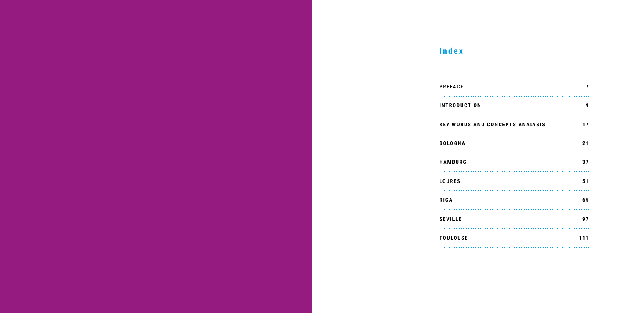# **Index**

| <b>PREFACE</b>               |
|------------------------------|
| <b>INTRODUCTION</b>          |
|                              |
| <b>KEY WORDS AND CONCEPT</b> |
|                              |
| <b>BOLOGNA</b>               |
|                              |
| <b>HAMBURG</b>               |
|                              |
| <b>LOURES</b>                |
|                              |
| <b>RIGA</b>                  |
|                              |
| <b>SEVILLE</b>               |
|                              |
| <b>TOULOUSE</b>              |
|                              |

| <b>PREFACE</b>                         | 7   |
|----------------------------------------|-----|
| <b>INTRODUCTION</b>                    | 9   |
| <b>KEY WORDS AND CONCEPTS ANALYSIS</b> | 17  |
| <b>BOLOGNA</b>                         | 21  |
| <b>HAMBURG</b>                         | 37  |
| <b>LOURES</b>                          | 51  |
| <b>RIGA</b>                            | 65  |
| <b>SEVILLE</b>                         | 97  |
| <b>TOULOUSE</b>                        | 111 |
|                                        |     |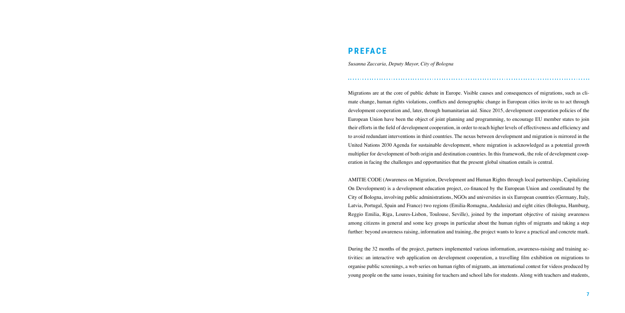Migrations are at the core of public debate in Europe. Visible causes and consequences of migrations, such as climate change, human rights violations, conflicts and demographic change in European cities invite us to act through development cooperation and, later, through humanitarian aid. Since 2015, development cooperation policies of the European Union have been the object of joint planning and programming, to encourage EU member states to join their efforts in the field of development cooperation, in order to reach higher levels of effectiveness and efficiency and to avoid redundant interventions in third countries. The nexus between development and migration is mirrored in the United Nations 2030 Agenda for sustainable development, where migration is acknowledged as a potential growth multiplier for development of both origin and destination countries. In this framework, the role of development cooperation in facing the challenges and opportunities that the present global situation entails is central.

AMITIE CODE (Awareness on Migration, Development and Human Rights through local partnerships, Capitalizing On Development) is a development education project, co-financed by the European Union and coordinated by the City of Bologna, involving public administrations, NGOs and universities in six European countries (Germany, Italy, Latvia, Portugal, Spain and France) two regions (Emilia-Romagna, Andalusia) and eight cities (Bologna, Hamburg, Reggio Emilia, Riga, Loures-Lisbon, Toulouse, Seville), joined by the important objective of raising awareness among citizens in general and some key groups in particular about the human rights of migrants and taking a step further: beyond awareness raising, information and training, the project wants to leave a practical and concrete mark.

During the 32 months of the project, partners implemented various information, awareness-raising and training activities: an interactive web application on development cooperation, a travelling film exhibition on migrations to organise public screenings, a web series on human rights of migrants, an international contest for videos produced by young people on the same issues, training for teachers and school labs for students. Along with teachers and students,

## **PREFACE**

*Susanna Zaccaria, Deputy Mayor, City of Bologna*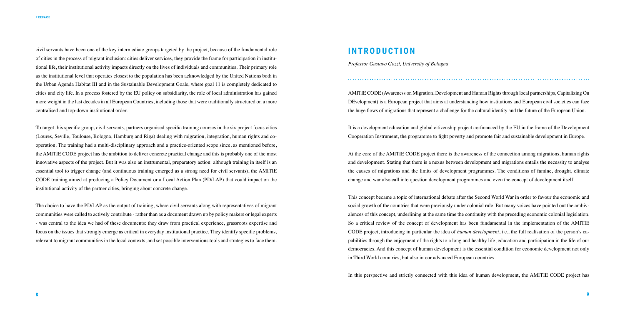AMITIE CODE (Awareness on Migration, Development and Human Rights through local partnerships, Capitalizing On DEvelopment) is a European project that aims at understanding how institutions and European civil societies can face the huge flows of migrations that represent a challenge for the cultural identity and the future of the European Union.

It is a development education and global citizenship project co-financed by the EU in the frame of the Development Cooperation Instrument, the programme to fight poverty and promote fair and sustainable development in Europe.

At the core of the AMITIE CODE project there is the awareness of the connection among migrations, human rights and development. Stating that there is a nexus between development and migrations entails the necessity to analyse the causes of migrations and the limits of development programmes. The conditions of famine, drought, climate change and war also call into question development programmes and even the concept of development itself.

This concept became a topic of international debate after the Second World War in order to favour the economic and social growth of the countries that were previously under colonial rule. But many voices have pointed out the ambivalences of this concept, underlining at the same time the continuity with the preceding economic colonial legislation. So a critical review of the concept of development has been fundamental in the implementation of the AMITIE CODE project, introducing in particular the idea of *human development*, i.e., the full realisation of the person's capabilities through the enjoyment of the rights to a long and healthy life, education and participation in the life of our democracies. And this concept of human development is the essential condition for economic development not only in Third World countries, but also in our advanced European countries.

In this perspective and strictly connected with this idea of human development, the AMITIE CODE project has

civil servants have been one of the key intermediate groups targeted by the project, because of the fundamental role of cities in the process of migrant inclusion: cities deliver services, they provide the frame for participation in institutional life, their institutional activity impacts directly on the lives of individuals and communities. Their primary role as the institutional level that operates closest to the population has been acknowledged by the United Nations both in the Urban Agenda Habitat III and in the Sustainable Development Goals, where goal 11 is completely dedicated to cities and city life. In a process fostered by the EU policy on subsidiarity, the role of local administration has gained more weight in the last decades in all European Countries, including those that were traditionally structured on a more centralised and top-down institutional order.

To target this specific group, civil servants, partners organised specific training courses in the six project focus cities (Loures, Seville, Toulouse, Bologna, Hamburg and Riga) dealing with migration, integration, human rights and cooperation. The training had a multi-disciplinary approach and a practice-oriented scope since, as mentioned before, the AMITIE CODE project has the ambition to deliver concrete practical change and this is probably one of the most innovative aspects of the project. But it was also an instrumental, preparatory action: although training in itself is an essential tool to trigger change (and continuous training emerged as a strong need for civil servants), the AMITIE CODE training aimed at producing a Policy Document or a Local Action Plan (PD/LAP) that could impact on the institutional activity of the partner cities, bringing about concrete change.

The choice to have the PD/LAP as the output of training, where civil servants along with representatives of migrant communities were called to actively contribute - rather than as a document drawn up by policy makers or legal experts - was central to the idea we had of these documents: they draw from practical experience, grassroots expertise and focus on the issues that strongly emerge as critical in everyday institutional practice. They identify specific problems, relevant to migrant communities in the local contexts, and set possible interventions tools and strategies to face them.

## **INTRODUCTION**

*Professor Gustavo Gozzi, University of Bologna*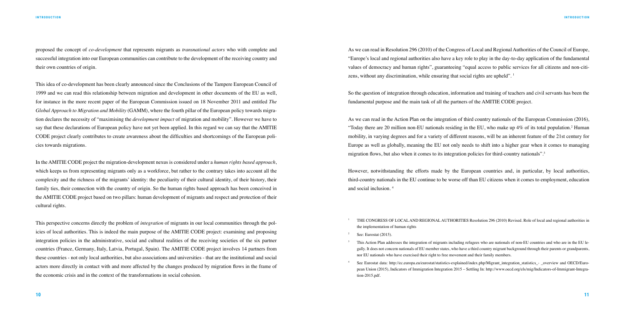proposed the concept of *co-development* that represents migrants as *transnational actors* who with complete and successful integration into our European communities can contribute to the development of the receiving country and their own countries of origin.

This idea of co-development has been clearly announced since the Conclusions of the Tampere European Council of 1999 and we can read this relationship between migration and development in other documents of the EU as well, for instance in the more recent paper of the European Commission issued on 18 November 2011 and entitled *The Global Approach to Migration and Mobility* (GAMM), where the fourth pillar of the European policy towards migration declares the necessity of "maximising the *development impact* of migration and mobility". However we have to say that these declarations of European policy have not yet been applied. In this regard we can say that the AMITIE CODE project clearly contributes to create awareness about the difficulties and shortcomings of the European policies towards migrations.

As we can read in Resolution 296 (2010) of the Congress of Local and Regional Authorities of the Council of Europe, "Europe's local and regional authorities also have a key role to play in the day-to-day application of the fundamental values of democracy and human rights", guaranteeing "equal access to public services for all citizens and non-citizens, without any discrimination, while ensuring that social rights are upheld". <sup>1</sup>

In the AMITIE CODE project the migration-development nexus is considered under a *human rights based approach*, which keeps us from representing migrants only as a workforce, but rather to the contrary takes into account all the complexity and the richness of the migrants' identity: the peculiarity of their cultural identity, of their history, their family ties, their connection with the country of origin. So the human rights based approach has been conceived in the AMITIE CODE project based on two pillars: human development of migrants and respect and protection of their cultural rights.

This perspective concerns directly the problem of *integration* of migrants in our local communities through the policies of local authorities. This is indeed the main purpose of the AMITIE CODE project: examining and proposing integration policies in the administrative, social and cultural realities of the receiving societies of the six partner countries (France, Germany, Italy, Latvia, Portugal, Spain). The AMITIE CODE project involves 14 partners from these countries - not only local authorities, but also associations and universities - that are the institutional and social actors more directly in contact with and more affected by the changes produced by migration flows in the frame of the economic crisis and in the context of the transformations in social cohesion.

See Eurostat data: http://ec.europa.eu/eurostat/statistics-explained/index.php/Migrant\_integration\_statistics\_- \_overview and OECD/European Union (2015), Indicators of Immigration Integration 2015 – Settling In: http://www.oecd.org/els/mig/Indicators-of-Immigrant-Integra-

So the question of integration through education, information and training of teachers and civil servants has been the fundamental purpose and the main task of all the partners of the AMITIE CODE project.

As we can read in the Action Plan on the integration of third country nationals of the European Commission (2016), "Today there are 20 million non-EU nationals residing in the EU, who make up 4% of its total population.<sup>2</sup> Human mobility, in varying degrees and for a variety of different reasons, will be an inherent feature of the 21st century for Europe as well as globally, meaning the EU not only needs to shift into a higher gear when it comes to managing migration flows, but also when it comes to its integration policies for third-country nationals".<sup>3</sup>

However, notwithstanding the efforts made by the European countries and, in particular, by local authorities, third-country nationals in the EU continue to be worse off than EU citizens when it comes to employment, education and social inclusion. <sup>4</sup>

 This Action Plan addresses the integration of migrants including refugees who are nationals of non-EU countries and who are in the EU legally. It does not concern nationals of EU member states, who have a third country migrant background through their parents or grandparents,

- <sup>1</sup> THE CONGRESS OF LOCAL AND REGIONAL AUTHORITIES Resolution 296 (2010) Revised. Role of local and regional authorities in the implementation of human rights
- See: Eurostat (2015).
- 3 nor EU nationals who have exercised their right to free movement and their family members.
- tion-2015.pdf.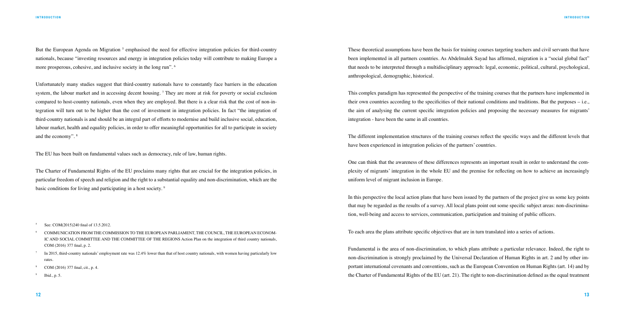But the European Agenda on Migration <sup>5</sup> emphasised the need for effective integration policies for third-country nationals, because "investing resources and energy in integration policies today will contribute to making Europe a more prosperous, cohesive, and inclusive society in the long run". <sup>6</sup>

Unfortunately many studies suggest that third-country nationals have to constantly face barriers in the education system, the labour market and in accessing decent housing.  $\tau$  They are more at risk for poverty or social exclusion compared to host-country nationals, even when they are employed. But there is a clear risk that the cost of non-integration will turn out to be higher than the cost of investment in integration policies. In fact "the integration of third-country nationals is and should be an integral part of efforts to modernise and build inclusive social, education, labour market, health and equality policies, in order to offer meaningful opportunities for all to participate in society and the economy". <sup>8</sup>

The EU has been built on fundamental values such as democracy, rule of law, human rights.

The Charter of Fundamental Rights of the EU proclaims many rights that are crucial for the integration policies, in particular freedom of speech and religion and the right to a substantial equality and non-discrimination, which are the basic conditions for living and participating in a host society. <sup>9</sup>

See: COM(2015)240 final of 13.5.2012.

These theoretical assumptions have been the basis for training courses targeting teachers and civil servants that have been implemented in all partners countries. As Abdelmalek Sayad has affirmed, migration is a "social global fact" that needs to be interpreted through a multidisciplinary approach: legal, economic, political, cultural, psychological, anthropological, demographic, historical.

This complex paradigm has represented the perspective of the training courses that the partners have implemented in their own countries according to the specificities of their national conditions and traditions. But the purposes – i.e., the aim of analysing the current specific integration policies and proposing the necessary measures for migrants' integration - have been the same in all countries.

The different implementation structures of the training courses reflect the specific ways and the different levels that have been experienced in integration policies of the partners' countries.

One can think that the awareness of these differences represents an important result in order to understand the complexity of migrants' integration in the whole EU and the premise for reflecting on how to achieve an increasingly uniform level of migrant inclusion in Europe.

In this perspective the local action plans that have been issued by the partners of the project give us some key points that may be regarded as the results of a survey. All local plans point out some specific subject areas: non-discrimination, well-being and access to services, communication, participation and training of public officers.

To each area the plans attribute specific objectives that are in turn translated into a series of actions.

Fundamental is the area of non-discrimination, to which plans attribute a particular relevance. Indeed, the right to non-discrimination is strongly proclaimed by the Universal Declaration of Human Rights in art. 2 and by other important international covenants and conventions, such as the European Convention on Human Rights (art. 14) and by the Charter of Fundamental Rights of the EU (art. 21). The right to non-discrimination defined as the equal treatment

- 6 COMMUNICATION FROM THE COMMISSION TO THE EUROPEAN PARLIAMENT, THE COUNCIL, THE EUROPEAN ECONOM-IC AND SOCIAL COMMITTEE AND THE COMMITTEE OF THE REGIONS Action Plan on the integration of third country nationals, COM (2016) 377 final, p. 2.
- $\frac{7}{10}$  In 2015, third-country nationals' employment rate was 12.4% lower than that of host country nationals, with women having particularly low rates.
- COM (2016) 377 final, cit., p. 4.
- <sup>9</sup> Ibid., p. 5.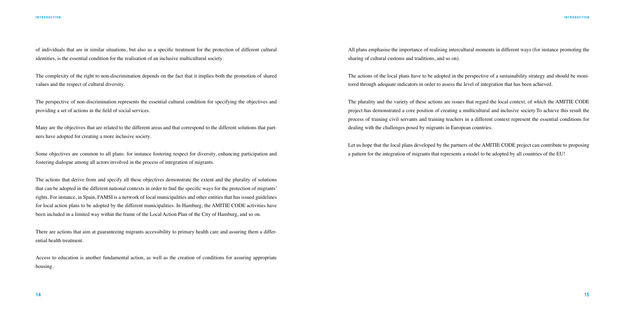of individuals that are in similar situations, but also as a specific treatment for the protection of different cultural identities, is the essential condition for the realisation of an inclusive multicultural society.

The complexity of the right to non-discrimination depends on the fact that it implies both the promotion of shared values and the respect of cultural diversity.

The perspective of non-discrimination represents the essential cultural condition for specifying the objectives and providing a set of actions in the field of social services.

Many are the objectives that are related to the different areas and that correspond to the different solutions that partners have adopted for creating a more inclusive society.

There are actions that aim at guaranteeing migrants accessibility to primary health care and assuring them a differential health treatment.

Some objectives are common to all plans: for instance fostering respect for diversity, enhancing participation and fostering dialogue among all actors involved in the process of integration of migrants.

The actions that derive from and specify all these objectives demonstrate the extent and the plurality of solutions that can be adopted in the different national contexts in order to find the specific ways for the protection of migrants' rights. For instance, in Spain, FAMSI is a network of local municipalities and other entities that has issued guidelines for local action plans to be adopted by the different municipalities. In Hamburg, the AMITIE CODE activities have been included in a limited way within the frame of the Local Action Plan of the City of Hamburg, and so on.

Access to education is another fundamental action, as well as the creation of conditions for assuring appropriate housing.

All plans emphasise the importance of realising intercultural moments in different ways (for instance promoting the sharing of cultural customs and traditions, and so on).

The actions of the local plans have to be adopted in the perspective of a sustainability strategy and should be monitored through adequate indicators in order to assess the level of integration that has been achieved.

The plurality and the variety of these actions are issues that regard the local context, of which the AMITIE CODE project has demonstrated a core position of creating a multicultural and inclusive society.To achieve this result the process of training civil servants and training teachers in a different context represent the essential conditions for dealing with the challenges posed by migrants in European countries.

Let us hope that the local plans developed by the partners of the AMITIE CODE project can contribute to proposing a pattern for the integration of migrants that represents a model to be adopted by all countries of the EU!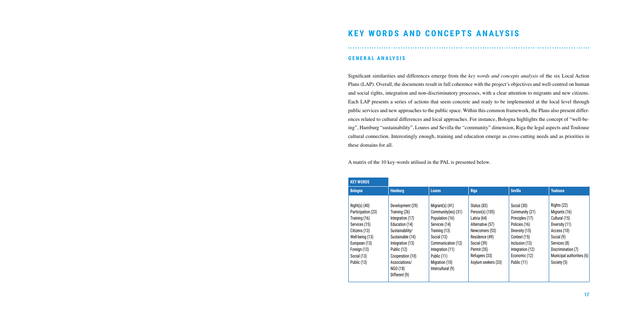# **KEY WORDS AND CONCEPTS ANALYSIS**

#### **GENERAL ANALYSIS**

Significant similarities and differences emerge from the *key words and concepts analysis* of the six Local Action Plans (LAP). Overall, the documents result in full coherence with the project's objectives and well-centred on human and social rights, integration and non-discriminatory processes, with a clear attention to migrants and new citizens. Each LAP presents a series of actions that seem concrete and ready to be implemented at the local level through public services and new approaches to the public space. Within this common framework, the Plans also present differences related to cultural differences and local approaches. For instance, Bologna highlights the concept of "well-being", Hamburg "sustainability", Loures and Sevilla the "community" dimension, Riga the legal aspects and Toulouse cultural connection. Interestingly enough, training and education emerge as cross-cutting needs and as priorities in these domains for all.

A matrix of the 10 key-words utilised in the PAL is presented below.

| <b>KEY WORDS</b>                                                                                                             |                                                                                                                                    |                                                                                                                                    |                                                                                                                      |                                                                                                                       |                                                                                                              |
|------------------------------------------------------------------------------------------------------------------------------|------------------------------------------------------------------------------------------------------------------------------------|------------------------------------------------------------------------------------------------------------------------------------|----------------------------------------------------------------------------------------------------------------------|-----------------------------------------------------------------------------------------------------------------------|--------------------------------------------------------------------------------------------------------------|
| <b>Bologna</b>                                                                                                               | <b>Hamburg</b>                                                                                                                     | <b>Loures</b>                                                                                                                      | <b>Riga</b>                                                                                                          | <b>Sevilla</b>                                                                                                        | <b>Toulouse</b>                                                                                              |
| $Right(s)$ (40)<br>Participation (23)<br>Training (16)<br>Services (15)<br>Citizens (13)<br>Well-being (13)<br>European (13) | Development (29)<br>Training (26)<br>Integration (17)<br>Education (14)<br>Sustainability/<br>Sustainable (14)<br>Integration (13) | Migrant(s) $(41)$<br>Community(ies) (31)<br>Population (16)<br>Services (14)<br>Training (13)<br>Social (13)<br>Communication (12) | Status (83)<br>Person(s) (105)<br>Latvia (64)<br>Alternative (57)<br>Newcomers (53)<br>Residence (49)<br>Social (39) | Social (30)<br>Community (21)<br>Principles (17)<br>Policies (16)<br>Diversity (15)<br>Context (15)<br>Inclusion (13) | Rights (22)<br>Migrants (16)<br>Cultural (15)<br>Diversity (11)<br>Access (10)<br>Social (9)<br>Services (8) |
| Foreign (13)<br>Social (13)<br>Public (13)                                                                                   | Public (12)<br>Cooperation (10)<br>Associations/<br>NGO (18)<br>Different (9)                                                      | Integration (11)<br>Public (11)<br>Migration (10)<br>Intercultural (9)                                                             | Permit (35)<br>Refugees (33)<br>Asylum seekers (33)                                                                  | Integration (12)<br>Economic (12)<br>Public (11)                                                                      | Discrimination (7)<br>Municipal authorities (6)<br>Society (5)                                               |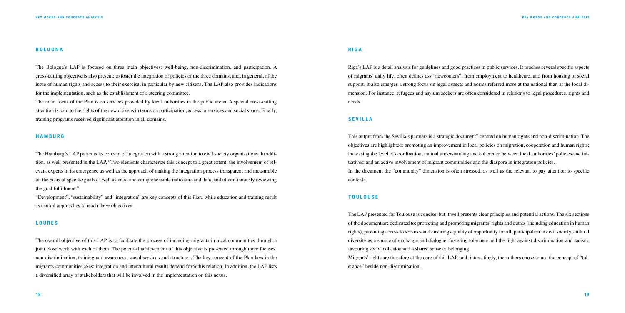#### **BOLOGNA**

The Bologna's LAP is focused on three main objectives: well-being, non-discrimination, and participation. A cross-cutting objective is also present: to foster the integration of policies of the three domains, and, in general, of the issue of human rights and access to their exercise, in particular by new citizens. The LAP also provides indications for the implementation, such as the establishment of a steering committee.

The main focus of the Plan is on services provided by local authorities in the public arena. A special cross-cutting attention is paid to the rights of the new citizens in terms on participation, access to services and social space. Finally, training programs received significant attention in all domains.

#### **HAMBURG**

The Hamburg's LAP presents its concept of integration with a strong attention to civil society organisations. In addition, as well presented in the LAP, "Two elements characterize this concept to a great extent: the involvement of relevant experts in its emergence as well as the approach of making the integration process transparent and measurable on the basis of specific goals as well as valid and comprehensible indicators and data, and of continuously reviewing the goal fulfillment."

"Development", "sustainability" and "integration" are key concepts of this Plan, while education and training result as central approaches to reach these objectives.

#### **L O U R E S**

The overall objective of this LAP is to facilitate the process of including migrants in local communities through a joint close work with each of them. The potential achievement of this objective is presented through three focuses: non-discrimination, training and awareness, social services and structures. The key concept of the Plan lays in the migrants-communities axes: integration and intercultural results depend from this relation. In addition, the LAP lists a diversified array of stakeholders that will be involved in the implementation on this nexus.

#### **RIGA**

Riga's LAP is a detail analysis for guidelines and good practices in public services. It touches several specific aspects of migrants' daily life, often defines ass "newcomers", from employment to healthcare, and from housing to social support. It also emerges a strong focus on legal aspects and norms referred more at the national than at the local dimension. For instance, refugees and asylum seekers are often considered in relations to legal procedures, rights and needs.

#### **S E V I L L A**

This output from the Sevilla's partners is a strategic document" centred on human rights and non-discrimination. The objectives are highlighted: promoting an improvement in local policies on migration, cooperation and human rights; increasing the level of coordination, mutual understanding and coherence between local authorities' policies and initiatives; and an active involvement of migrant communities and the diaspora in integration policies. In the document the "community" dimension is often stressed, as well as the relevant to pay attention to specific contexts.

#### **TOULOUSE**

The LAP presented for Toulouse is concise, but it well presents clear principles and potential actions. The six sections of the document are dedicated to: protecting and promoting migrants' rights and duties (including education in human rights), providing access to services and ensuring equality of opportunity for all, participation in civil society, cultural diversity as a source of exchange and dialogue, fostering tolerance and the fight against discrimination and racism, favouring social cohesion and a shared sense of belonging. Migrants' rights are therefore at the core of this LAP, and, interestingly, the authors chose to use the concept of "tolerance" beside non-discrimination.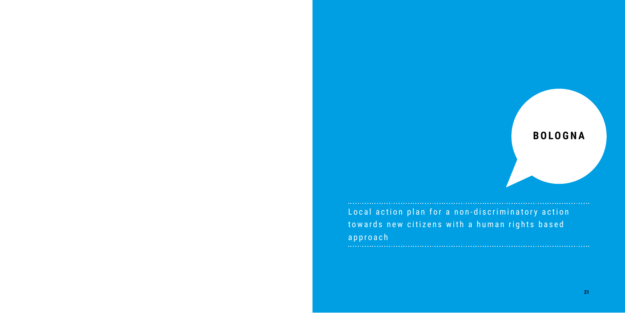# **BOLOGNA**

Local action plan for a non-discriminatory action towards new citizens with a human rights based approach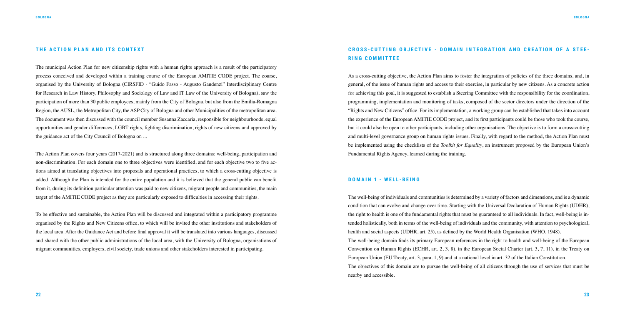#### **THE ACTION PLAN AND ITS CONTEXT**

The municipal Action Plan for new citizenship rights with a human rights approach is a result of the participatory process conceived and developed within a training course of the European AMITIE CODE project. The course, organised by the University of Bologna (CIRSFID - "Guido Fasso - Augusto Gaudenzi" Interdisciplinary Centre for Research in Law History, Philosophy and Sociology of Law and IT Law of the University of Bologna), saw the participation of more than 30 public employees, mainly from the City of Bologna, but also from the Emilia-Romagna Region, the AUSL, the Metropolitan City, the ASP City of Bologna and other Municipalities of the metropolitan area. The document was then discussed with the council member Susanna Zaccaria, responsible for neighbourhoods, equal opportunities and gender differences, LGBT rights, fighting discrimination, rights of new citizens and approved by the guidance act of the City Council of Bologna on ...

The Action Plan covers four years (2017-2021) and is structured along three domains: well-being, participation and non-discrimination. For each domain one to three objectives were identified, and for each objective two to five actions aimed at translating objectives into proposals and operational practices, to which a cross-cutting objective is added. Although the Plan is intended for the entire population and it is believed that the general public can benefit from it, during its definition particular attention was paid to new citizens, migrant people and communities, the main target of the AMITIE CODE project as they are particularly exposed to difficulties in accessing their rights.

To be effective and sustainable, the Action Plan will be discussed and integrated within a participatory programme organised by the Rights and New Citizens office, to which will be invited the other institutions and stakeholders of the local area. After the Guidance Act and before final approval it will be translated into various languages, discussed and shared with the other public administrations of the local area, with the University of Bologna, organisations of migrant communities, employers, civil society, trade unions and other stakeholders interested in participating.

## **CROSS-CUTTING OBJECTIVE - DOMAIN INTEGRATION AND CREATION OF A STEE - RING COMMITTEE**

As a cross-cutting objective, the Action Plan aims to foster the integration of policies of the three domains, and, in general, of the issue of human rights and access to their exercise, in particular by new citizens. As a concrete action for achieving this goal, it is suggested to establish a Steering Committee with the responsibility for the coordination, programming, implementation and monitoring of tasks, composed of the sector directors under the direction of the "Rights and New Citizens" office. For its implementation, a working group can be established that takes into account the experience of the European AMITIE CODE project, and its first participants could be those who took the course, but it could also be open to other participants, including other organisations. The objective is to form a cross-cutting and multi-level governance group on human rights issues. Finally, with regard to the method, the Action Plan must be implemented using the checklists of the *Toolkit for Equality*, an instrument proposed by the European Union's Fundamental Rights Agency, learned during the training.

#### **DOMAIN 1 - WELL-BEING**

The well-being of individuals and communities is determined by a variety of factors and dimensions, and is a dynamic condition that can evolve and change over time. Starting with the Universal Declaration of Human Rights (UDHR), the right to health is one of the fundamental rights that must be guaranteed to all individuals. In fact, well-being is intended holistically, both in terms of the well-being of individuals and the community, with attention to psychological, health and social aspects (UDHR, art. 25), as defined by the World Health Organisation (WHO, 1948). The well-being domain finds its primary European references in the right to health and well-being of the European Convention on Human Rights (ECHR, art. 2, 3, 8), in the European Social Charter (art. 3, 7, 11), in the Treaty on European Union (EU Treaty, art. 3, para. 1, 9) and at a national level in art. 32 of the Italian Constitution. The objectives of this domain are to pursue the well-being of all citizens through the use of services that must be nearby and accessible.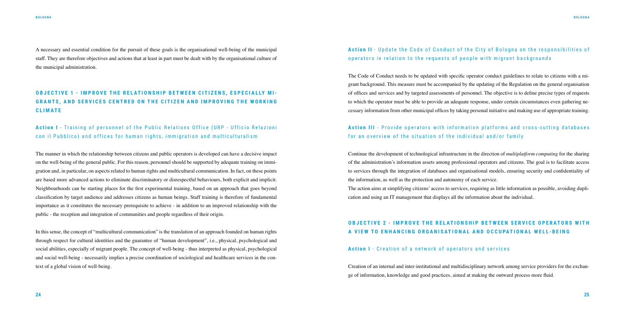A necessary and essential condition for the pursuit of these goals is the organisational well-being of the municipal staff. They are therefore objectives and actions that at least in part must be dealt with by the organisational culture of the municipal administration.

## **OBJECTIVE 1 - IMPROVE THE RELATIONSHIP BETWEEN CITIZENS, ESPECIALLY MI-GRANTS, AND SERVICES CENTRED ON THE CITIZEN AND IMPROVING THE WORKING CLIMATE**

Action I - Training of personnel of the Public Relations Office (URP - Ufficio Relazioni con il Pubblico) and offices for human rights, immigration and multiculturalism

## Action II - Update the Code of Conduct of the City of Bologna on the responsibilities of operators in relation to the requests of people with migrant backgrounds

The manner in which the relationship between citizens and public operators is developed can have a decisive impact on the well-being of the general public. For this reason, personnel should be supported by adequate training on immigration and, in particular, on aspects related to human rights and multicultural communication. In fact, on these points are based more advanced actions to eliminate discriminatory or disrespectful behaviours, both explicit and implicit. Neighbourhoods can be starting places for the first experimental training, based on an approach that goes beyond classification by target audience and addresses citizens as human beings. Staff training is therefore of fundamental importance as it constitutes the necessary prerequisite to achieve - in addition to an improved relationship with the public - the reception and integration of communities and people regardless of their origin.

## **Action III** - Provide operators with information platforms and cross-cutting databases for an overview of the situation of the individual and/or family

In this sense, the concept of "multicultural communication" is the translation of an approach founded on human rights through respect for cultural identities and the guarantee of "human development", i.e., physical, psychological and social abilities, especially of migrant people. The concept of well-being - thus interpreted as physical, psychological and social well-being - necessarily implies a precise coordination of sociological and healthcare services in the context of a global vision of well-being.

## **OBJECTIVE 2 - IMPROVE THE RELATIONSHIP BETWEEN SERVICE OPERATORS WITH A VIEW TO ENHANCING ORGANISATIONAL AND OCCUPATIONAL WELL-BEING**

The Code of Conduct needs to be updated with specific operator conduct guidelines to relate to citizens with a migrant background. This measure must be accompanied by the updating of the Regulation on the general organisation of offices and services and by targeted assessments of personnel. The objective is to define precise types of requests to which the operator must be able to provide an adequate response, under certain circumstances even gathering necessary information from other municipal offices by taking personal initiative and making use of appropriate training.

Continue the development of technological infrastructure in the direction of *multiplatform computing* for the sharing of the administration's information assets among professional operators and citizens. The goal is to facilitate access to services through the integration of databases and organisational models, ensuring security and confidentiality of the information, as well as the protection and autonomy of each service. The action aims at simplifying citizens' access to services, requiring as little information as possible, avoiding duplication and using an IT management that displays all the information about the individual.

## **Action I** - Creation of a network of operators and services

Creation of an internal and inter-institutional and multidisciplinary network among service providers for the exchange of information, knowledge and good practices, aimed at making the outward process more fluid.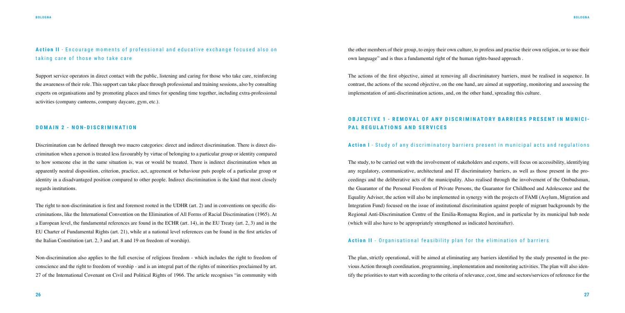Action II - Encourage moments of professional and educative exchange focused also on taking care of those who take care

Support service operators in direct contact with the public, listening and caring for those who take care, reinforcing the awareness of their role. This support can take place through professional and training sessions, also by consulting experts on organisations and by promoting places and times for spending time together, including extra-professional activities (company canteens, company daycare, gym, etc.).

#### **DOMAIN 2 - NON-DISCRIMINATION**

Discrimination can be defined through two macro categories: direct and indirect discrimination. There is direct discrimination when a person is treated less favourably by virtue of belonging to a particular group or identity compared to how someone else in the same situation is, was or would be treated. There is indirect discrimination when an apparently neutral disposition, criterion, practice, act, agreement or behaviour puts people of a particular group or identity in a disadvantaged position compared to other people. Indirect discrimination is the kind that most closely regards institutions.

The right to non-discrimination is first and foremost rooted in the UDHR (art. 2) and in conventions on specific discriminations, like the International Convention on the Elimination of All Forms of Racial Discrimination (1965). At a European level, the fundamental references are found in the ECHR (art. 14), in the EU Treaty (art. 2, 3) and in the EU Charter of Fundamental Rights (art. 21), while at a national level references can be found in the first articles of the Italian Constitution (art. 2, 3 and art. 8 and 19 on freedom of worship).

Non-discrimination also applies to the full exercise of religious freedom - which includes the right to freedom of conscience and the right to freedom of worship - and is an integral part of the rights of minorities proclaimed by art. 27 of the International Covenant on Civil and Political Rights of 1966. The article recognises "in community with the other members of their group, to enjoy their own culture, to profess and practise their own religion, or to use their own language" and is thus a fundamental right of the human rights-based approach .

The actions of the first objective, aimed at removing all discriminatory barriers, must be realised in sequence. In contrast, the actions of the second objective, on the one hand, are aimed at supporting, monitoring and assessing the implementation of anti-discrimination actions, and, on the other hand, spreading this culture.

## **OBJECTIVE 1 - REMOVAL OF ANY DISCRIMINATORY BARRIERS PRESENT IN MUNICI-PAL REGULATIONS AND SERVICES**

### **Action I** - Study of any discriminatory barriers present in municipal acts and regulations

The study, to be carried out with the involvement of stakeholders and experts, will focus on accessibility, identifying any regulatory, communicative, architectural and IT discriminatory barriers, as well as those present in the proceedings and the deliberative acts of the municipality. Also realised through the involvement of the Ombudsman, the Guarantor of the Personal Freedom of Private Persons, the Guarantor for Childhood and Adolescence and the Equality Adviser, the action will also be implemented in synergy with the projects of FAMI (Asylum, Migration and Integration Fund) focused on the issue of institutional discrimination against people of migrant backgrounds by the Regional Anti-Discrimination Centre of the Emilia-Romagna Region, and in particular by its municipal hub node (which will also have to be appropriately strengthened as indicated hereinafter).

## **Action II** - Organisational feasibility plan for the elimination of barriers

The plan, strictly operational, will be aimed at eliminating any barriers identified by the study presented in the previous Action through coordination, programming, implementation and monitoring activities. The plan will also identify the priorities to start with according to the criteria of relevance, cost, time and sectors/services of reference for the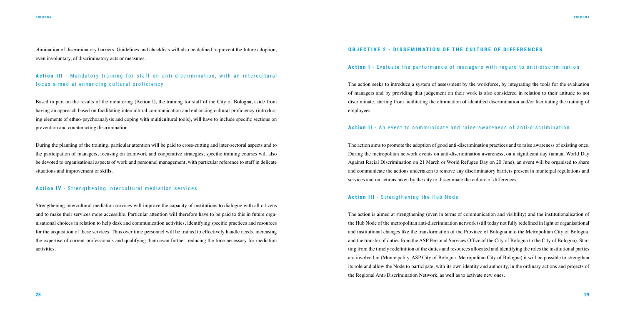elimination of discriminatory barriers. Guidelines and checklists will also be defined to prevent the future adoption, even involuntary, of discriminatory acts or measures.

## Action III - Mandatory training for staff on anti-discrimination, with an intercultural focus aimed at enhancing cultural proficiency

Based in part on the results of the monitoring (Action I), the training for staff of the City of Bologna, aside from having an approach based on facilitating intercultural communication and enhancing cultural proficiency (introducing elements of ethno-psychoanalysis and coping with multicultural tools), will have to include specific sections on prevention and counteracting discrimination.

During the planning of the training, particular attention will be paid to cross-cutting and inter-sectoral aspects and to the participation of managers, focusing on teamwork and cooperative strategies; specific training courses will also be devoted to organisational aspects of work and personnel management, with particular reference to staff in delicate situations and improvement of skills.

#### **Action IV** - Strengthening intercultural mediation services

Strengthening intercultural mediation services will improve the capacity of institutions to dialogue with all citizens and to make their services more accessible. Particular attention will therefore have to be paid to this in future organisational choices in relation to help desk and communication activities, identifying specific practices and resources for the acquisition of these services. Thus over time personnel will be trained to effectively handle needs, increasing the expertise of current professionals and qualifying them even further, reducing the time necessary for mediation activities.

#### **OBJECTIVE 2 - DISSEMINATION OF THE CULTURE OF DIFFERENCES**

#### **Action I** - Evaluate the performance of managers with regard to anti-discrimination

The action seeks to introduce a system of assessment by the workforce, by integrating the tools for the evaluation of managers and by providing that judgement on their work is also considered in relation to their attitude to not discriminate, starting from facilitating the elimination of identified discrimination and/or facilitating the training of employees.

#### **Action II** - An event to communicate and raise awareness of anti-discrimination

The action aims to promote the adoption of good anti-discrimination practices and to raise awareness of existing ones. During the metropolitan network events on anti-discrimination awareness, on a significant day (annual World Day Against Racial Discrimination on 21 March or World Refugee Day on 20 June), an event will be organised to share and communicate the actions undertaken to remove any discriminatory barriers present in municipal regulations and services and on actions taken by the city to disseminate the culture of differences.

#### **Action III** - Strengthening the Hub Node

The action is aimed at strengthening (even in terms of communication and visibility) and the institutionalisation of the Hub Node of the metropolitan anti-discrimination network (still today not fully redefined in light of organisational and institutional changes like the transformation of the Province of Bologna into the Metropolitan City of Bologna, and the transfer of duties from the ASP Personal Services Office of the City of Bologna to the City of Bologna). Starting from the timely redefinition of the duties and resources allocated and identifying the roles the institutional parties are involved in (Municipality, ASP City of Bologna, Metropolitan City of Bologna) it will be possible to strengthen its role and allow the Node to participate, with its own identity and authority, in the ordinary actions and projects of the Regional Anti-Discrimination Network, as well as to activate new ones.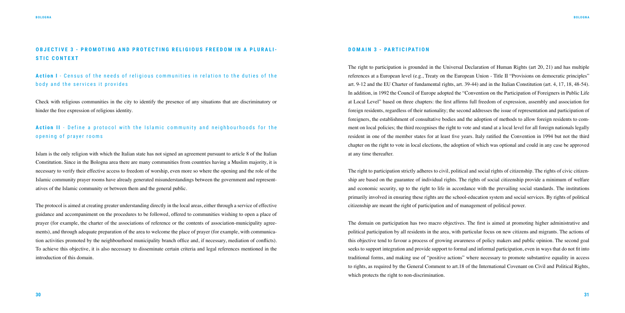## **OBJECTIVE 3 - PROMOTING AND PROTECTING RELIGIOUS FREEDOM IN A PLURALI-STIC CONTEXT**

Action I - Census of the needs of religious communities in relation to the duties of the body and the services it provides

## **Action II** - Define a protocol with the Islamic community and neighbourhoods for the opening of prayer rooms

Check with religious communities in the city to identify the presence of any situations that are discriminatory or hinder the free expression of religious identity.

Islam is the only religion with which the Italian state has not signed an agreement pursuant to article 8 of the Italian Constitution. Since in the Bologna area there are many communities from countries having a Muslim majority, it is necessary to verify their effective access to freedom of worship, even more so where the opening and the role of the Islamic community prayer rooms have already generated misunderstandings between the government and representatives of the Islamic community or between them and the general public.

The protocol is aimed at creating greater understanding directly in the local areas, either through a service of effective guidance and accompaniment on the procedures to be followed, offered to communities wishing to open a place of prayer (for example, the charter of the associations of reference or the contents of association-municipality agreements), and through adequate preparation of the area to welcome the place of prayer (for example, with communication activities promoted by the neighbourhood municipality branch office and, if necessary, mediation of conflicts). To achieve this objective, it is also necessary to disseminate certain criteria and legal references mentioned in the introduction of this domain.

#### **DOMAIN 3 - PARTICIPATION**

The right to participation is grounded in the Universal Declaration of Human Rights (art 20, 21) and has multiple references at a European level (e.g., Treaty on the European Union - Title II "Provisions on democratic principles" art. 9-12 and the EU Charter of fundamental rights, art. 39-44) and in the Italian Constitution (art. 4, 17, 18, 48-54). In addition, in 1992 the Council of Europe adopted the "Convention on the Participation of Foreigners in Public Life at Local Level" based on three chapters: the first affirms full freedom of expression, assembly and association for foreign residents, regardless of their nationality; the second addresses the issue of representation and participation of foreigners, the establishment of consultative bodies and the adoption of methods to allow foreign residents to comment on local policies; the third recognises the right to vote and stand at a local level for all foreign nationals legally resident in one of the member states for at least five years. Italy ratified the Convention in 1994 but not the third chapter on the right to vote in local elections, the adoption of which was optional and could in any case be approved at any time thereafter.

The right to participation strictly adheres to civil, political and social rights of citizenship. The rights of civic citizenship are based on the guarantee of individual rights. The rights of social citizenship provide a minimum of welfare and economic security, up to the right to life in accordance with the prevailing social standards. The institutions primarily involved in ensuring these rights are the school-education system and social services. By rights of political citizenship are meant the right of participation and of management of political power.

The domain on participation has two macro objectives. The first is aimed at promoting higher administrative and political participation by all residents in the area, with particular focus on new citizens and migrants. The actions of this objective tend to favour a process of growing awareness of policy makers and public opinion. The second goal seeks to support integration and provide support to formal and informal participation, even in ways that do not fit into traditional forms, and making use of "positive actions" where necessary to promote substantive equality in access to rights, as required by the General Comment to art.18 of the International Covenant on Civil and Political Rights, which protects the right to non-discrimination.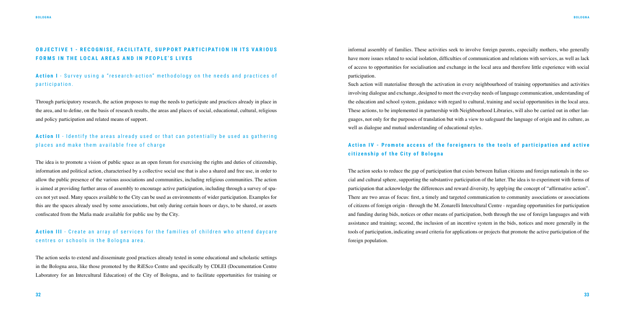## **OBJECTIVE 1 - RECOGNISE, FACILITATE, SUPPORT PARTICIPATION IN ITS VARIOUS FORMS IN THE LOCAL AREAS AND IN PEOPLE'S LIVES**

**Action I** - Survey using a "research-action" methodology on the needs and practices of participation.

## **Action II** - Identify the areas already used or that can potentially be used as gathering places and make them available free of charge

Through participatory research, the action proposes to map the needs to participate and practices already in place in the area, and to define, on the basis of research results, the areas and places of social, educational, cultural, religious and policy participation and related means of support.

## **Action III** - Create an array of services for the families of children who attend daycare centres or schools in the Bologna area.

The idea is to promote a vision of public space as an open forum for exercising the rights and duties of citizenship, information and political action, characterised by a collective social use that is also a shared and free use, in order to allow the public presence of the various associations and communities, including religious communities. The action is aimed at providing further areas of assembly to encourage active participation, including through a survey of spaces not yet used. Many spaces available to the City can be used as environments of wider participation. Examples for this are the spaces already used by some associations, but only during certain hours or days, to be shared, or assets confiscated from the Mafia made available for public use by the City.

## Action IV - Promote access of the foreigners to the tools of participation and active **citizenship of the City of Bologna**

The action seeks to extend and disseminate good practices already tested in some educational and scholastic settings in the Bologna area, like those promoted by the RiESco Centre and specifically by CDLEI (Documentation Centre Laboratory for an Intercultural Education) of the City of Bologna, and to facilitate opportunities for training or informal assembly of families. These activities seek to involve foreign parents, especially mothers, who generally have more issues related to social isolation, difficulties of communication and relations with services, as well as lack of access to opportunities for socialisation and exchange in the local area and therefore little experience with social participation.

Such action will materialise through the activation in every neighbourhood of training opportunities and activities involving dialogue and exchange, designed to meet the everyday needs of language communication, understanding of the education and school system, guidance with regard to cultural, training and social opportunities in the local area. These actions, to be implemented in partnership with Neighbourhood Libraries, will also be carried out in other languages, not only for the purposes of translation but with a view to safeguard the language of origin and its culture, as well as dialogue and mutual understanding of educational styles.

The action seeks to reduce the gap of participation that exists between Italian citizens and foreign nationals in the social and cultural sphere, supporting the substantive participation of the latter. The idea is to experiment with forms of participation that acknowledge the differences and reward diversity, by applying the concept of "affirmative action". There are two areas of focus: first, a timely and targeted communication to community associations or associations of citizens of foreign origin - through the M. Zonarelli Intercultural Centre - regarding opportunities for participation and funding during bids, notices or other means of participation, both through the use of foreign languages and with assistance and training; second, the inclusion of an incentive system in the bids, notices and more generally in the tools of participation, indicating award criteria for applications or projects that promote the active participation of the foreign population.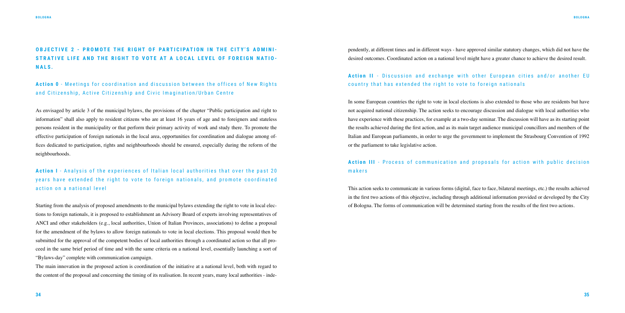## **OBJECTIVE 2 - PROMOTE THE RIGHT OF PARTICIPATION IN THE CITY'S ADMINI-STRATIVE LIFE AND THE RIGHT TO VOTE AT A LOCAL LEVEL OF FOREIGN NATIO - NALS.**

**Action 0** - Meetings for coordination and discussion between the offices of New Rights and Citizenship, Active Citizenship and Civic Imagination/Urban Centre

**Action I** - Analysis of the experiences of Italian local authorities that over the past 20 years have extended the right to vote to foreign nationals, and promote coordinated action on a national level

As envisaged by article 3 of the municipal bylaws, the provisions of the chapter "Public participation and right to information" shall also apply to resident citizens who are at least 16 years of age and to foreigners and stateless persons resident in the municipality or that perform their primary activity of work and study there. To promote the effective participation of foreign nationals in the local area, opportunities for coordination and dialogue among offices dedicated to participation, rights and neighbourhoods should be ensured, especially during the reform of the neighbourhoods.

## Action II - Discussion and exchange with other European cities and/or another EU country that has extended the right to vote to foreign nationals

Starting from the analysis of proposed amendments to the municipal bylaws extending the right to vote in local elections to foreign nationals, it is proposed to establishment an Advisory Board of experts involving representatives of ANCI and other stakeholders (e.g., local authorities, Union of Italian Provinces, associations) to define a proposal for the amendment of the bylaws to allow foreign nationals to vote in local elections. This proposal would then be submitted for the approval of the competent bodies of local authorities through a coordinated action so that all proceed in the same brief period of time and with the same criteria on a national level, essentially launching a sort of "Bylaws-day" complete with communication campaign.

## Action III - Process of communication and proposals for action with public decision makers

The main innovation in the proposed action is coordination of the initiative at a national level, both with regard to the content of the proposal and concerning the timing of its realisation. In recent years, many local authorities - independently, at different times and in different ways - have approved similar statutory changes, which did not have the desired outcomes. Coordinated action on a national level might have a greater chance to achieve the desired result.

In some European countries the right to vote in local elections is also extended to those who are residents but have not acquired national citizenship. The action seeks to encourage discussion and dialogue with local authorities who have experience with these practices, for example at a two-day seminar. The discussion will have as its starting point the results achieved during the first action, and as its main target audience municipal councillors and members of the Italian and European parliaments, in order to urge the government to implement the Strasbourg Convention of 1992 or the parliament to take legislative action.

This action seeks to communicate in various forms (digital, face to face, bilateral meetings, etc.) the results achieved in the first two actions of this objective, including through additional information provided or developed by the City of Bologna. The forms of communication will be determined starting from the results of the first two actions.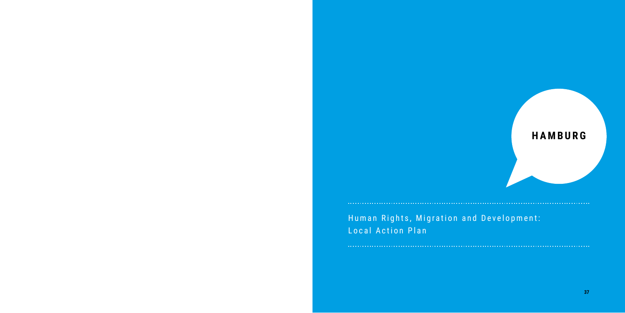# **HAMBURG**

Human Rights, Migration and Development: Local Action Plan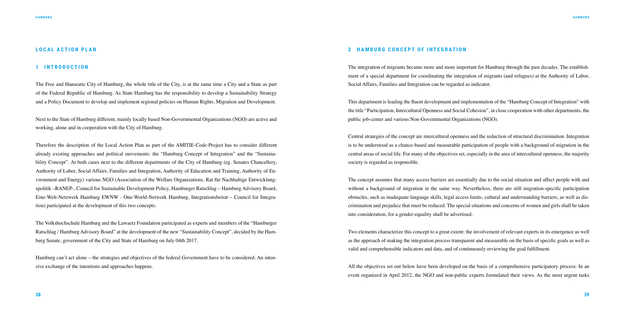#### **LOCAL ACTION PLAN**

#### **1 INTRODUCTION**

The Free and Hanseatic City of Hamburg, the whole title of the City, is at the same time a City and a State as part of the Federal Republic of Hamburg. As State Hamburg has the responsibility to develop a Sustainability Strategy and a Policy Document to develop and implement regional policies on Human Rights, Migration and Development.

Next to the State of Hamburg different, mainly locally based Non-Governmental Organizations (NGO) are active and working, alone and in cooperation with the City of Hamburg.

Therefore the description of the Local Action Plan as part of the AMITIE-Code-Project has to consider different already existing approaches and political movements: the "Hamburg Concept of Integration" and the "Sustainability Concept". At both cases next to the different departments of the City of Hamburg (eg. Senates Chancellery, Authority of Labor, Social Affairs, Families and Integration, Authority of Education and Training, Authority of Environment and Energy) various NGO (Association of the Welfare Organizations, Rat für Nachhaltige Entwicklungspolitik –RANEP-, Council for Sustainable Development Policy, Hamburger Ratschlag – Hamburg Advisory Board, Eine-Welt-Netzwerk Hamburg EWNW - One-World-Network Hamburg, Integrationsbeirat – Council for Integration) participated at the development of this two concepts.

The Volkshochschule Hamburg and the Lawaetz Foundation participated as experts and members of the "Hamburger Ratschlag / Hamburg Advisory Board" at the development of the new "Sustainability Concept", decided by the Hamburg Senate, government of the City and State of Hamburg on July 04th 2017.

Hamburg can´t act alone – the strategies and objectives of the federal Government have to be considered. An intensive exchange of the intentions and approaches happens.

#### **2 HAMBURG CONCEPT OF INTEGRATION**

The integration of migrants became more and more important for Hamburg through the past decades. The establishment of a special department for coordinating the integration of migrants (and refugees) at the Authority of Labor, Social Affairs, Families and Integration can be regarded as indicator.

This department is leading the fluent development and implementation of the "Hamburg Concept of Integration" with the title "Participation, Intercultural Openness and Social Cohesion", in close cooperation with other departments, the public job-center and various Non-Governmental Organizations (NGO).

Central strategies of the concept are intercultural openness and the reduction of structural discrimination. Integration is to be understood as a chance-based and measurable participation of people with a background of migration in the central areas of social life. For many of the objectives set, especially in the area of intercultural openness, the majority society is regarded as responsible.

The concept assumes that many access barriers are essentially due to the social situation and affect people with and without a background of migration in the same way. Nevertheless, there are still migration-specific participation obstacles, such as inadequate language skills, legal access limits, cultural and understanding barriers, as well as discrimination and prejudice that must be reduced. The special situations and concerns of women and girls shall be taken into consideration, for a gender-equality shall be advertised.

Two elements characterize this concept to a great extent: the involvement of relevant experts in its emergence as well as the approach of making the integration process transparent and measurable on the basis of specific goals as well as valid and comprehensible indicators and data, and of continuously reviewing the goal fulfillment.

All the objectives set out below have been developed on the basis of a comprehensive participatory process: In an event organized in April 2012, the NGO and non-public experts formulated their views. As the most urgent tasks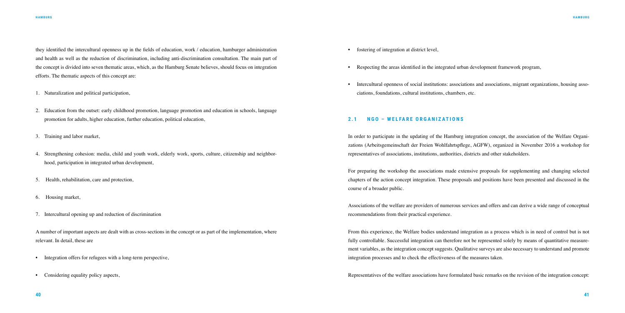they identified the intercultural openness up in the fields of education, work / education, hamburger administration and health as well as the reduction of discrimination, including anti-discrimination consultation. The main part of the concept is divided into seven thematic areas, which, as the Hamburg Senate believes, should focus on integration efforts. The thematic aspects of this concept are:

- 1. Naturalization and political participation,
- 2. Education from the outset: early childhood promotion, language promotion and education in schools, language promotion for adults, higher education, further education, political education,
- 3. Training and labor market,
- 4. Strengthening cohesion: media, child and youth work, elderly work, sports, culture, citizenship and neighborhood, participation in integrated urban development,
- 5. Health, rehabilitation, care and protection,
- 6. Housing market,
- 7. Intercultural opening up and reduction of discrimination

A number of important aspects are dealt with as cross-sections in the concept or as part of the implementation, where relevant. In detail, these are

- Integration offers for refugees with a long-term perspective,
- Considering equality policy aspects,

- fostering of integration at district level,
- Respecting the areas identified in the integrated urban development framework program,
- ciations, foundations, cultural institutions, chambers, etc.

• Intercultural openness of social institutions: associations and associations, migrant organizations, housing asso-

#### **2.1 NGO – WELFARE ORGANIZATIONS**

In order to participate in the updating of the Hamburg integration concept, the association of the Welfare Organizations (Arbeitsgemeinschaft der Freien Wohlfahrtspflege, AGFW), organized in November 2016 a workshop for representatives of associations, institutions, authorities, districts and other stakeholders.

For preparing the workshop the associations made extensive proposals for supplementing and changing selected chapters of the action concept integration. These proposals and positions have been presented and discussed in the course of a broader public.

Associations of the welfare are providers of numerous services and offers and can derive a wide range of conceptual recommendations from their practical experience.

From this experience, the Welfare bodies understand integration as a process which is in need of control but is not fully controllable. Successful integration can therefore not be represented solely by means of quantitative measurement variables, as the integration concept suggests. Qualitative surveys are also necessary to understand and promote integration processes and to check the effectiveness of the measures taken.

Representatives of the welfare associations have formulated basic remarks on the revision of the integration concept: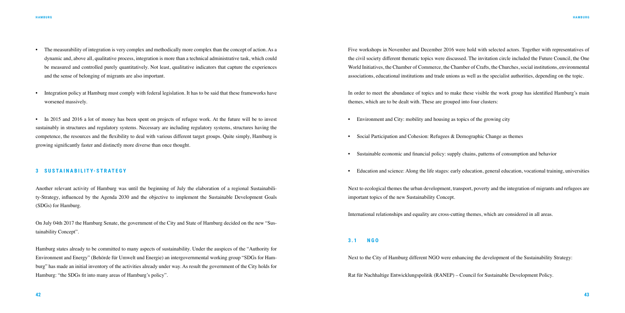- The measurability of integration is very complex and methodically more complex than the concept of action. As a dynamic and, above all, qualitative process, integration is more than a technical administrative task, which could be measured and controlled purely quantitatively. Not least, qualitative indicators that capture the experiences and the sense of belonging of migrants are also important.
- Integration policy at Hamburg must comply with federal legislation. It has to be said that these frameworks have worsened massively.

• In 2015 and 2016 a lot of money has been spent on projects of refugee work. At the future will be to invest sustainably in structures and regulatory systems. Necessary are including regulatory systems, structures having the competence, the resources and the flexibility to deal with various different target groups. Quite simply, Hamburg is growing significantly faster and distinctly more diverse than once thought.

#### **3 SUSTAINABILITY-STRATEGY**

Another relevant activity of Hamburg was until the beginning of July the elaboration of a regional Sustainability-Strategy, influenced by the Agenda 2030 and the objective to implement the Sustainable Development Goals (SDGs) for Hamburg.

On July 04th 2017 the Hamburg Senate, the government of the City and State of Hamburg decided on the new "Sustainability Concept".

- Environment and City: mobility and housing as topics of the growing city
- Social Participation and Cohesion: Refugees & Demographic Change as themes
- Sustainable economic and financial policy: supply chains, patterns of consumption and behavior
- Education and science: Along the life stages: early education, general education, vocational training, universities

Hamburg states already to be committed to many aspects of sustainability. Under the auspices of the "Authority for Environment and Energy" (Behörde für Umwelt und Energie) an intergovernmental working group "SDGs for Hamburg" has made an initial inventory of the activities already under way. As result the government of the City holds for Hamburg: "the SDGs fit into many areas of Hamburg's policy".

Five workshops in November and December 2016 were hold with selected actors. Together with representatives of the civil society different thematic topics were discussed. The invitation circle included the Future Council, the One World Initiatives, the Chamber of Commerce, the Chamber of Crafts, the Churches, social institutions, environmental associations, educational institutions and trade unions as well as the specialist authorities, depending on the topic.

In order to meet the abundance of topics and to make these visible the work group has identified Hamburg's main themes, which are to be dealt with. These are grouped into four clusters:

Next to ecological themes the urban development, transport, poverty and the integration of migrants and refugees are important topics of the new Sustainability Concept.

International relationships and equality are cross-cutting themes, which are considered in all areas.

#### **3.1 NGO**

Next to the City of Hamburg different NGO were enhancing the development of the Sustainability Strategy:

Rat für Nachhaltige Entwicklungspolitik (RANEP) – Council for Sustainable Development Policy.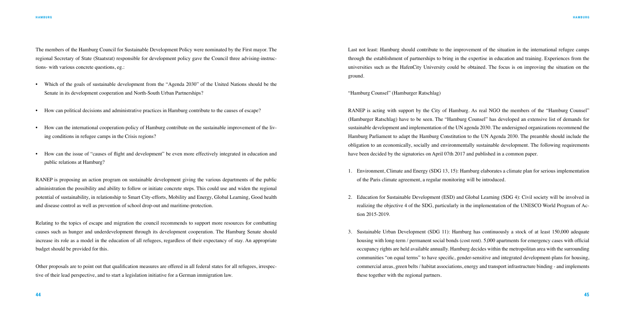The members of the Hamburg Council for Sustainable Development Policy were nominated by the First mayor. The regional Secretary of State (Staatsrat) responsible for development policy gave the Council three advising-instructions- with various concrete questions, eg.:

- Which of the goals of sustainable development from the "Agenda 2030" of the United Nations should be the Senate in its development cooperation and North-South Urban Partnerships?
- How can political decisions and administrative practices in Hamburg contribute to the causes of escape?
- How can the international cooperation-policy of Hamburg contribute on the sustainable improvement of the living conditions in refugee camps in the Crisis regions?
- How can the issue of "causes of flight and development" be even more effectively integrated in education and public relations at Hamburg?

RANEP is proposing an action program on sustainable development giving the various departments of the public administration the possibility and ability to follow or initiate concrete steps. This could use and widen the regional potential of sustainability, in relationship to Smart City-efforts, Mobility and Energy, Global Learning, Good health and disease control as well as prevention of school drop-out and maritime-protection.

Relating to the topics of escape and migration the council recommends to support more resources for combatting causes such as hunger and underdevelopment through its development cooperation. The Hamburg Senate should increase its role as a model in the education of all refugees, regardless of their expectancy of stay. An appropriate budget should be provided for this.

Other proposals are to point out that qualification measures are offered in all federal states for all refugees, irrespective of their lead perspective, and to start a legislation initiative for a German immigration law.

Last not least: Hamburg should contribute to the improvement of the situation in the international refugee camps through the establishment of partnerships to bring in the expertise in education and training. Experiences from the universities such as the HafenCity University could be obtained. The focus is on improving the situation on the ground.

"Hamburg Counsel" (Hamburger Ratschlag)

RANEP is acting with support by the City of Hamburg. As real NGO the members of the "Hamburg Counsel" (Hamburger Ratschlag) have to be seen. The "Hamburg Counsel" has developed an extensive list of demands for sustainable development and implementation of the UN agenda 2030. The undersigned organizations recommend the Hamburg Parliament to adapt the Hamburg Constitution to the UN Agenda 2030. The preamble should include the obligation to an economically, socially and environmentally sustainable development. The following requirements have been decided by the signatories on April 07th 2017 and published in a common paper.

realizing the objective 4 of the SDG, particularly in the implementation of the UNESCO World Program of Ac-

- 1. Environment, Climate and Energy (SDG 13, 15): Hamburg elaborates a climate plan for serious implementation of the Paris climate agreement, a regular monitoring will be introduced.
- 2. Education for Sustainable Development (ESD) and Global Learning (SDG 4): Civil society will be involved in tion 2015-2019.
- 3. Sustainable Urban Development (SDG 11): Hamburg has continuously a stock of at least 150,000 adequate these together with the regional partners.

housing with long-term / permanent social bonds (cost rent). 5,000 apartments for emergency cases with official occupancy rights are held available annually. Hamburg decides within the metropolitan area with the surrounding communities "on equal terms" to have specific, gender-sensitive and integrated development-plans for housing, commercial areas, green belts / habitat associations, energy and transport infrastructure binding - and implements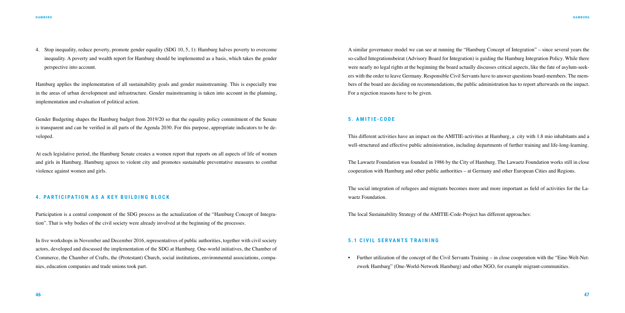4. Stop inequality, reduce poverty, promote gender equality (SDG 10, 5, 1): Hamburg halves poverty to overcome inequality. A poverty and wealth report for Hamburg should be implemented as a basis, which takes the gender perspective into account.

Hamburg applies the implementation of all sustainability goals and gender mainstreaming. This is especially true in the areas of urban development and infrastructure. Gender mainstreaming is taken into account in the planning, implementation and evaluation of political action.

Gender Budgeting shapes the Hamburg budget from 2019/20 so that the equality policy commitment of the Senate is transparent and can be verified in all parts of the Agenda 2030. For this purpose, appropriate indicators to be developed.

At each legislative period, the Hamburg Senate creates a women report that reports on all aspects of life of women and girls in Hamburg. Hamburg agrees to violent city and promotes sustainable preventative measures to combat violence against women and girls.

#### **4. PARTICIPATION AS A KEY BUILDING BLOCK**

Participation is a central component of the SDG process as the actualization of the "Hamburg Concept of Integration". That is why bodies of the civil society were already involved at the beginning of the processes.

In five workshops in November and December 2016, representatives of public authorities, together with civil society actors, developed and discussed the implementation of the SDG at Hamburg. One-world initiatives, the Chamber of Commerce, the Chamber of Crafts, the (Protestant) Church, social institutions, environmental associations, companies, education companies and trade unions took part.

A similar governance model we can see at running the "Hamburg Concept of Integration" – since several years the so-called Integrationsbeirat (Advisory Board for Integration) is guiding the Hamburg Integration Policy. While there were nearly no legal rights at the beginning the board actually discusses critical aspects, like the fate of asylum-seekers with the order to leave Germany. Responsible Civil Servants have to answer questions board-members. The members of the board are deciding on recommendations, the public administration has to report afterwards on the impact. For a rejection reasons have to be given.

#### **5. AMITIE-CODE**

This different activities have an impact on the AMITIE-activities at Hamburg, a city with 1.8 mio inhabitants and a well-structured and effective public administration, including departments of further training and life-long-learning.

The Lawaetz Foundation was founded in 1986 by the City of Hamburg. The Lawaetz Foundation works still in close cooperation with Hamburg and other public authorities – at Germany and other European Cities and Regions.

The social integration of refugees and migrants becomes more and more important as field of activities for the Lawaetz Foundation.

The local Sustainability Strategy of the AMITIE-Code-Project has different approaches:

#### **5.1 CIVIL SERVANTS TRAINING**

• Further utilization of the concept of the Civil Servants Training – in close cooperation with the "Eine-Welt-Net-

zwerk Hamburg" (One-World-Network Hamburg) and other NGO, for example migrant-communities.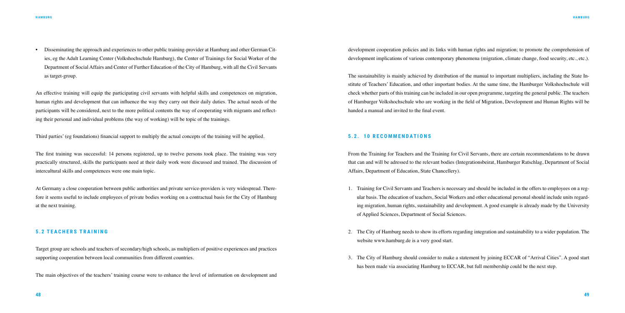• Disseminating the approach and experiences to other public training-provider at Hamburg and other German Cities, eg the Adult Learning Center (Volkshochschule Hamburg), the Center of Trainings for Social Worker of the Department of Social Affairs and Center of Further Education of the City of Hamburg, with all the Civil Servants as target-group.

An effective training will equip the participating civil servants with helpful skills and competences on migration, human rights and development that can influence the way they carry out their daily duties. The actual needs of the participants will be considered, next to the more political contents the way of cooperating with migrants and reflecting their personal and individual problems (the way of working) will be topic of the trainings.

Third parties' (eg foundations) financial support to multiply the actual concepts of the training will be applied.

development cooperation policies and its links with human rights and migration; to promote the comprehension of development implications of various contemporary phenomena (migration, climate change, food security, etc., etc.).

The first training was successful: 14 persons registered, up to twelve persons took place. The training was very practically structured, skills the participants need at their daily work were discussed and trained. The discussion of intercultural skills and competences were one main topic.

At Germany a close cooperation between public authorities and private service-providers is very widespread. Therefore it seems useful to include employees of private bodies working on a contractual basis for the City of Hamburg at the next training.

#### **5 . 2 T E A C H E R S T R A I N I N G**

Target group are schools and teachers of secondary/high schools, as multipliers of positive experiences and practices supporting cooperation between local communities from different countries.

The main objectives of the teachers' training course were to enhance the level of information on development and

The sustainability is mainly achieved by distribution of the manual to important multipliers, including the State Institute of Teachers' Education, and other important bodies. At the same time, the Hamburger Volkshochschule will check whether parts of this training can be included in our open programme, targeting the general public. The teachers of Hamburger Volkshochschule who are working in the field of Migration, Development and Human Rights will be handed a manual and invited to the final event.

#### **5 . 2 . 1 0 R E C O M M E N D AT I O N S**

From the Training for Teachers and the Training for Civil Servants, there are certain recommendations to be drawn that can and will be adressed to the relevant bodies (Integrationsbeirat, Hamburger Ratschlag, Department of Social Affairs, Department of Education, State Chancellery).

ular basis. The education of teachers, Social Workers and other educational personal should include units regarding migration, human rights, sustainability and development. A good example is already made by the University

- 1. Training for Civil Servants and Teachers is necessary and should be included in the offers to employees on a regof Applied Sciences, Department of Social Sciences.
- 2. The City of Hamburg needs to show its efforts regarding integration and sustainability to a wider population. The website www.hamburg.de is a very good start.
- 3. The City of Hamburg should consider to make a statement by joining ECCAR of "Arrival Cities". A good start has been made via associating Hamburg to ECCAR, but full membership could be the next step.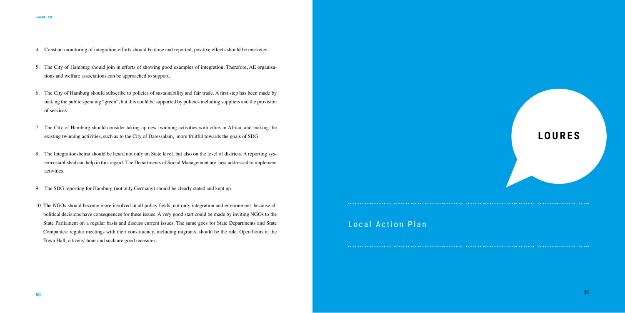- 4. Constant monitoring of integration efforts should be done and reported, positive effects should be marketed.
- 5. The City of Hamburg should join in efforts of showing good examples of integration. Therefore, AE organisations and welfare associations can be approached to support.
- 6. The City of Hamburg should subscribe to policies of sustainability and fair trade. A first step has been made by making the public spending "green", but this could be supported by policies including suppliers and the provision of services.
- 7. The City of Hamburg should consider taking up new twinning activities with cities in Africa, and making the existing twinning activities, such as to the City of Daressalam, more fruitful towards the goals of SDG
- 8. The Integrationsbeirat should be heard not only on State level, but also on the level of districts. A reporting system established can help in this regard. The Departments of Social Management are best addressed to implement activities.
- 9. The SDG reporting for Hamburg (not only Germany) should be clearly stated and kept up.
- 10. The NGOs should become more involved in all policy fields, not only integration and environment, because all political decisions have consequences for these issues. A very good start could be made by inviting NGOs to the State Parliament on a regular basis and discuss current issues. The same goes for State Departments and State Companies: regular meetings with their constituency, including migrants, should be the rule. Open hours at the Town Hall, citizens' hour and such are good measures.

# **LOURES**

# Local Action Plan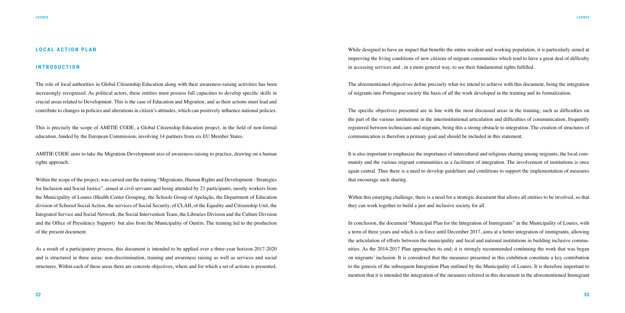#### **LOCAL ACTION PLAN**

#### **INTRODUCTION**

The role of local authorities in Global Citizenship Education along with their awareness-raising activities has been increasingly recognized. As political actors, these entities must possess full capacities to develop specific skills in crucial areas related to Development. This is the case of Education and Migration, and as their actions must lead and contribute to changes in policies and alterations in citizen's attitudes, which can positively influence national policies.

This is precisely the scope of AMITIE CODE, a Global Citizenship Education project, in the field of non-formal education, funded by the European Commission, involving 14 partners from six EU Member States.

AMITIE CODE aims to take the Migration-Development axis of awareness-raising to practice, drawing on a human rights approach.

Within the scope of the project, was carried out the training "Migrations, Human Rights and Development - Strategies for Inclusion and Social Justice", aimed at civil servants and being attended by 21 participants, mostly workers from the Municipality of Loures (Health Center Grouping, the Schools Group of Apelação, the Department of Education division of Schoool Social Action, the services of Social Security, of CLAII, of the Equality and Citizenship Unit, the Integrated Service and Social Network, the Social Intervention Team, the Libraries Division and the Culture Division and the Office of Presidency Support) but also from the Municipality of Ourém. The training led to the production of the present document.

Within this emerging challenge, there is a need for a strategic document that allows all entities to be involved, so that they can work together to build a just and inclusive society for all.

As a result of a participatory process, this document is intended to be applied over a three-year horizon 2017-2020 and is structured in three areas: non-discrimination, training and awareness raising as well as services and social structures. Within each of these areas there are concrete objectives, where and for which a set of actions is presented. While designed to have an impact that benefits the entire resident and working population, it is particularly aimed at improving the living conditions of new citizens of migrant communities which tend to have a great deal of difficulty in accessing services and , in a more general way, to see their fundamental rights fulfilled.

The aforementioned objectives define precisely what we intend to achieve with this document, being the integration of migrants into Portuguese society the basis of all the work developed in the training and its formalization.

The specific objectives presented are in line with the most discussed areas in the training, such as difficulties on the part of the various institutions in the interinstitutional articulation and difficulties of communication, frequently registered between technicians and migrants, being this a strong obstacle to integration. The creation of structures of communication is therefore a primary goal and should be included in this statement.

It is also important to emphasize the importance of intercultural and religious sharing among migrants, the local community and the various migrant communities as a facilitator of integration. The involvement of institutions is once again central. Thus there is a need to develop guidelines and conditions to support the implementation of measures that encourage such sharing.

In conclusion, the document "Municipal Plan for the Integration of Immigrants" in the Municipality of Loures, with a term of three years and which is in force until December 2017, aims at a better integration of immigrants, allowing the articulation of efforts between the municipality and local and national institutions in building inclusive communities. As the 2014-2017 Plan approaches its end; it is strongly recommended continuing the work that was began on migrants' inclusion. It is considered that the measures presented in this exhibition constitute a key contribution to the genesis of the subsequent Integration Plan outlined by the Municipality of Loures. It is therefore important to mention that it is intended the integration of the measures referred in this document in the aforementioned Immigrant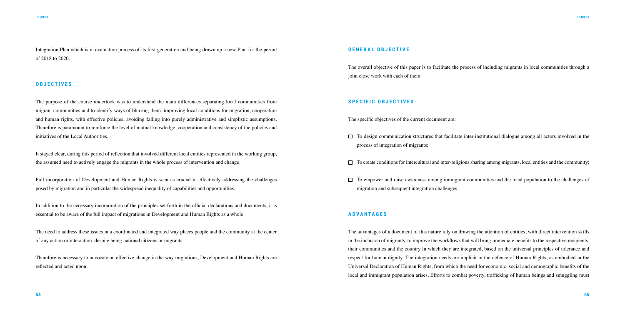Integration Plan which is in evaluation process of its first generation and being drawn up a new Plan for the period of 2018 to 2020.

#### **OBJECTIVES**

The purpose of the course undertook was to understand the main differences separating local communities from migrant communities and to identify ways of blurring them, improving local conditions for migration, cooperation and human rights, with effective policies, avoiding falling into purely administrative and simplistic assumptions. Therefore is paramount to reinforce the level of mutual knowledge, cooperation and consistency of the policies and initiatives of the Local Authorities.

It stayed clear, during this period of reflection that involved different local entities represented in the working group, the assumed need to actively engage the migrants in the whole process of intervention and change.

The overall objective of this paper is to facilitate the process of including migrants in local communities through a joint close work with each of them.

Full incorporation of Development and Human Rights is seen as crucial in effectively addressing the challenges posed by migration and in particular the widespread inequality of capabilities and opportunities.

In addition to the necessary incorporation of the principles set forth in the official declarations and documents, it is essential to be aware of the full impact of migrations in Development and Human Rights as a whole.

The need to address these issues in a coordinated and integrated way places people and the community at the center of any action or interaction, despite being national citizens or migrants.

Therefore is necessary to advocate an effective change in the way migrations, Development and Human Rights are reflected and acted upon.

 $\Box$  To design communication structures that facilitate inter-institutional dialogue among all actors involved in the

 $\Box$  To create conditions for intercultural and inter-religious sharing among migrants, local entities and the community;

#### **GENERAL OBJECTIVE**

#### **SPECIFIC OBJECTIVES**

The specific objectives of the current document are:

- process of integration of migrants;
- 
- $\Box$  To empower and raise awareness among immigrant communities and the local population to the challenges of migration and subsequent integration challenges.

#### **ADVANTAGES**

The advantages of a document of this nature rely on drawing the attention of entities, with direct intervention skills in the inclusion of migrants, to improve the workflows that will bring immediate benefits to the respective recipients, their communities and the country in which they are integrated, based on the universal principles of tolerance and respect for human dignity. The integration needs are implicit in the defence of Human Rights, as embodied in the Universal Declaration of Human Rights, from which the need for economic, social and demographic benefits of the local and immigrant population arises. Efforts to combat poverty, trafficking of human beings and smuggling must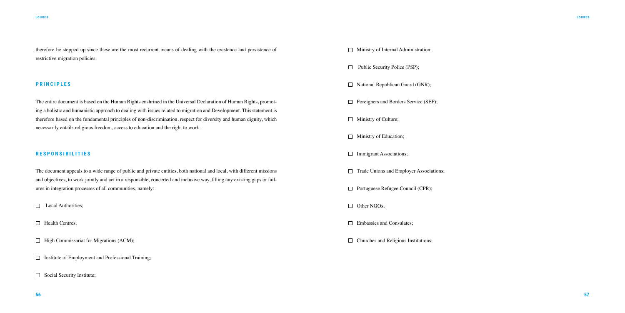therefore be stepped up since these are the most recurrent means of dealing with the existence and persistence of restrictive migration policies.

#### **P R I N C I P L E S**

The entire document is based on the Human Rights enshrined in the Universal Declaration of Human Rights, promoting a holistic and humanistic approach to dealing with issues related to migration and Development. This statement is therefore based on the fundamental principles of non-discrimination, respect for diversity and human dignity, which necessarily entails religious freedom, access to education and the right to work.

### **R E S P O N S I B I L I T I E S**

The document appeals to a wide range of public and private entities, both national and local, with different missions and objectives, to work jointly and act in a responsible, concerted and inclusive way, filling any existing gaps or failures in integration processes of all communities, namely:

**Local Authorities**;

**Health Centres:** 

- $\Box$  High Commissariat for Migrations (ACM);
- $\Box$  Institute of Employment and Professional Training;
- $\Box$  Social Security Institute;

 $\Box$  Ministry of Internal Administration; □ Public Security Police (PSP);  $\Box$  National Republican Guard (GNR); Foreigners and Borders Service (SEF);  $\Box$  Ministry of Culture; **Ministry of Education;**  $\Box$  Immigrant Associations;  $\Box$  Trade Unions and Employer Associations;  $\Box$  Portuguese Refugee Council (CPR); □ Other NGOs:

 $\Box$  Embassies and Consulates:

 $\Box$  Churches and Religious Institutions:

#### **LOURES**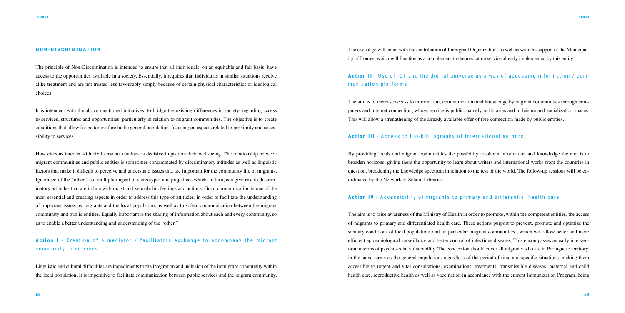#### **NON-DISCRIMINATION**

The principle of Non-Discrimination is intended to ensure that all individuals, on an equitable and fair basis, have access to the opportunities available in a society. Essentially, it requires that individuals in similar situations receive alike treatment and are not treated less favourably simply because of certain physical characteristics or ideological choices.

It is intended, with the above mentioned initiatives, to bridge the existing differences in society, regarding access to services, structures and opportunities, particularly in relation to migrant communities. The objective is to create conditions that allow for better welfare in the general population, focusing on aspects related to proximity and accessibility to services.

## **Action I** - Creation of a mediator / facilitators exchange to accompany the migrant community to services

How citizens interact with civil servants can have a decisive impact on their well-being. The relationship between migrant communities and public entities is sometimes contaminated by discriminatory attitudes as well as linguistic factors that make it difficult to perceive and understand issues that are important for the community life of migrants. Ignorance of the "other" is a multiplier agent of stereotypes and prejudices which, in turn, can give rise to discriminatory attitudes that are in line with racist and xenophobic feelings and actions. Good communication is one of the most essential and pressing aspects in order to address this type of attitudes, in order to facilitate the understanding of important issues by migrants and the local population, as well as to soften communication between the migrant community and public entities. Equally important is the sharing of information about each and every community, so as to enable a better understanding and understanding of the "other."

Linguistic and cultural difficulties are impediments to the integration and inclusion of the immigrant community within the local population. It is imperative to facilitate communication between public services and the migrant community.

The exchange will count with the contribution of Immigrant Organizations as well as with the support of the Municipality of Loures, which will function as a complement to the mediation service already implemented by this entity.

## **Action II** - Use of ICT and the digital universe as a way of accessing information / com munication platforms

The aim is to increase access to information, communication and knowledge by migrant communities through computers and internet connection, whose service is public, namely in libraries and in leisure and socialization spaces. This will allow a strengthening of the already available offer of free connection made by public entities.

#### **Action III** - Access to bio-bibliography of international authors

By providing locals and migrant communities the possibility to obtain information and knowledge the aim is to broaden horizons, giving them the opportunity to learn about writers and international works from the countries in question, broadening the knowledge spectrum in relation to the rest of the world. The follow-up sessions will be coordinated by the Network of School Libraries.

### **Action IV** - Accessibility of migrants to primary and differential health care

The aim is to raise awareness of the Ministry of Health in order to promote, within the competent entities, the access of migrants to primary and differentiated health care. These actions purport to prevent, promote and optimize the sanitary conditions of local populations and, in particular, migrant communities', which will allow better and more efficient epidemiological surveillance and better control of infectious diseases. This encompasses an early intervention in terms of psychosocial vulnerability. The concession should cover all migrants who are in Portuguese territory, in the same terms as the general population, regardless of the period of time and specific situations, making them accessible to urgent and vital consultations, examinations, treatments, transmissible diseases, maternal and child health care, reproductive health as well as vaccination in accordance with the current Immunization Program, being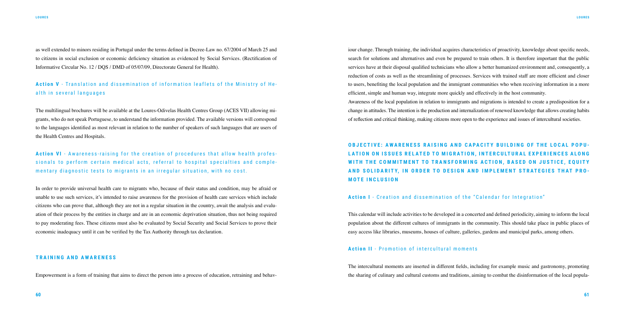as well extended to minors residing in Portugal under the terms defined in Decree-Law no. 67/2004 of March 25 and to citizens in social exclusion or economic deficiency situation as evidenced by Social Services. (Rectification of Informative Circular No. 12 / DQS / DMD of 05/07/09, Directorate General for Health).

## **Action V** - Translation and dissemination of information leaflets of the Ministry of He alth in several languages

The multilingual brochures will be available at the Loures-Odivelas Health Centres Group (ACES VII) allowing migrants, who do not speak Portuguese, to understand the information provided. The available versions will correspond to the languages identified as most relevant in relation to the number of speakers of such languages that are users of the Health Centres and Hospitals.

**Action VI** - Awareness-raising for the creation of procedures that allow health profes sionals to perform certain medical acts, referral to hospital specialties and comple mentary diagnostic tests to migrants in an irregular situation, with no cost.

In order to provide universal health care to migrants who, because of their status and condition, may be afraid or unable to use such services, it's intended to raise awareness for the provision of health care services which include citizens who can prove that, although they are not in a regular situation in the country, await the analysis and evaluation of their process by the entities in charge and are in an economic deprivation situation, thus not being required to pay moderating fees. These citizens must also be evaluated by Social Security and Social Services to prove their economic inadequacy until it can be verified by the Tax Authority through tax declaration.

#### **TRAINING AND AWARENESS**

Empowerment is a form of training that aims to direct the person into a process of education, retraining and behav-

iour change. Through training, the individual acquires characteristics of proactivity, knowledge about specific needs, search for solutions and alternatives and even be prepared to train others. It is therefore important that the public services have at their disposal qualified technicians who allow a better humanized environment and, consequently, a reduction of costs as well as the streamlining of processes. Services with trained staff are more efficient and closer to users, benefiting the local population and the immigrant communities who when receiving information in a more efficient, simple and human way, integrate more quickly and effectively in the host community. Awareness of the local population in relation to immigrants and migrations is intended to create a predisposition for a change in attitudes. The intention is the production and internalization of renewed knowledge that allows creating habits of reflection and critical thinking, making citizens more open to the experience and issues of intercultural societies.

## **OBJECTIVE: AWARENESS RAISING AND CAPACITY BUILDING OF THE LOCAL POPU - LATION ON ISSUES RELATED TO MIGRATION, INTERCULTURAL EXPERIENCES ALONG WITH THE COMMITMENT TO TRANSFORMING ACTION, BASED ON JUSTICE, EQUITY AND SOLIDARITY, IN ORDER TO DESIGN AND IMPLEMENT STRATEGIES THAT PRO-MOTE INCLUSION**

### **Action I** - Creation and dissemination of the "Calendar for Integration"

This calendar will include activities to be developed in a concerted and defined periodicity, aiming to inform the local population about the different cultures of immigrants in the community. This should take place in public places of easy access like libraries, museums, houses of culture, galleries, gardens and municipal parks, among others.

### **Action II** - Promotion of intercultural moments

The intercultural moments are inserted in different fields, including for example music and gastronomy, promoting the sharing of culinary and cultural customs and traditions, aiming to combat the disinformation of the local popula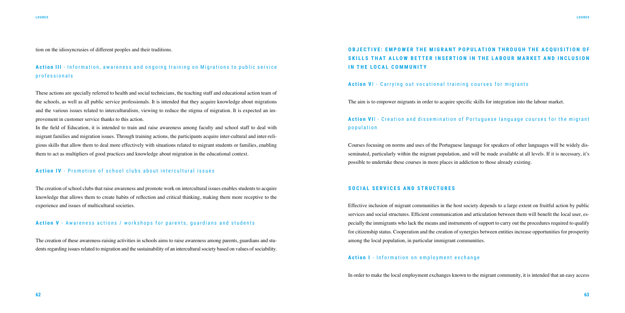tion on the idiosyncrasies of different peoples and their traditions.

**Action III** - Information, awareness and ongoing training on Migrations to public service professionals

These actions are specially referred to health and social technicians, the teaching staff and educational action team of the schools, as well as all public service professionals. It is intended that they acquire knowledge about migrations and the various issues related to interculturalism, viewing to reduce the stigma of migration. It is expected an improvement in customer service thanks to this action.

In the field of Education, it is intended to train and raise awareness among faculty and school staff to deal with migrant families and migration issues. Through training actions, the participants acquire inter-cultural and inter-religious skills that allow them to deal more effectively with situations related to migrant students or families, enabling them to act as multipliers of good practices and knowledge about migration in the educational context.

## **OBJECTIVE: EMPOWER THE MIGRANT POPULATION THROUGH THE ACOUISITION OF SKILLS THAT ALLOW BETTER INSERTION IN THE LABOUR MARKET AND INCLUSION IN THE LOCAL COMMUNITY**

#### Action VI - Carrying out vocational training courses for migrants

#### **Action IV** - Promotion of school clubs about intercultural issues

## Action VII - Creation and dissemination of Portuguese language courses for the migrant population

The creation of school clubs that raise awareness and promote work on intercultural issues enables students to acquire knowledge that allows them to create habits of reflection and critical thinking, making them more receptive to the experience and issues of multicultural societies.

#### **Action V** - Awareness actions / workshops for parents, guardians and students

The creation of these awareness-raising activities in schools aims to raise awareness among parents, guardians and students regarding issues related to migration and the sustainability of an intercultural society based on values of sociability. The aim is to empower migrants in order to acquire specific skills for integration into the labour market.

Courses focusing on norms and uses of the Portuguese language for speakers of other languages will be widely disseminated, particularly within the migrant population, and will be made available at all levels. If it is necessary, it's possible to undertake these courses in more places in addiction to those already existing.

#### **SOCIAL SERVICES AND STRUCTURES**

Effective inclusion of migrant communities in the host society depends to a large extent on fruitful action by public services and social structures. Efficient communication and articulation between them will benefit the local user, especially the immigrants who lack the means and instruments of support to carry out the procedures required to qualify for citizenship status. Cooperation and the creation of synergies between entities increase opportunities for prosperity among the local population, in particular immigrant communities.

### **Action I** - Information on employment exchange

In order to make the local employment exchanges known to the migrant community, it is intended that an easy access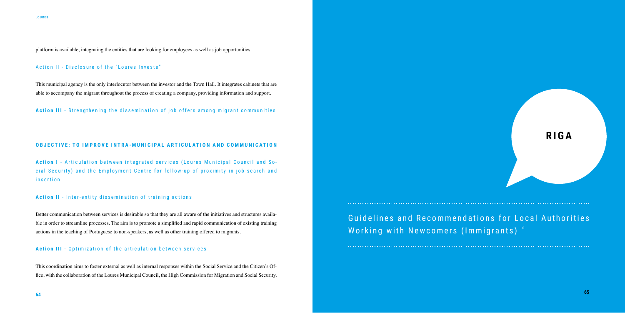platform is available, integrating the entities that are looking for employees as well as job opportunities.

## Action II - Disclosure of the "Loures Investe"

This municipal agency is the only interlocutor between the investor and the Town Hall. It integrates cabinets that are able to accompany the migrant throughout the process of creating a company, providing information and support.

Action III - Strengthening the dissemination of job offers among migrant communities

#### **OBJECTIVE: TO IMPROVE INTRA-MUNICIPAL ARTICULATION AND COMMUNICATION**

**Action I** - Articulation between integrated services (Loures Municipal Council and So cial Security) and the Employment Centre for follow-up of proximity in job search and insertion

> Guidelines and Recommendations for Local Authorities Working with Newcomers (Immigrants)<sup>10</sup>

#### **Action II** - Inter-entity dissemination of training actions

Better communication between services is desirable so that they are all aware of the initiatives and structures available in order to streamline processes. The aim is to promote a simplified and rapid communication of existing training actions in the teaching of Portuguese to non-speakers, as well as other training offered to migrants.

#### **Action III** - Optimization of the articulation between services

This coordination aims to foster external as well as internal responses within the Social Service and the Citizen's Office, with the collaboration of the Loures Municipal Council, the High Commission for Migration and Social Security.

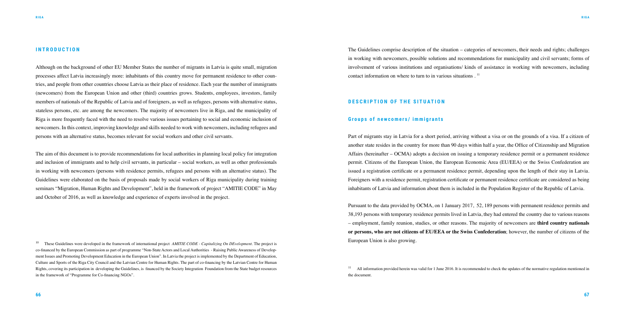<sup>10</sup> These Guidelines were developed in the framework of international project *AMITIE CODE - Capitalizing On DEvelopment.* The project is co-financed by the European Commission as part of programme "Non-State Actors and Local Authorities - Raising Public Awareness of Development Issues and Promoting Development Education in the European Union". In Latvia the project is implemented by the Department of Education, Culture and Sports of the Riga City Council and the Latvian Centre for Human Rights. The part of co-financing by the Latvian Centre for Human Rights, covering its participation in developing the Guidelines, is financed by the Society Integration Foundation from the State budget resources in the framework of "Programme for Co-financing NGOs".

#### **INTRODUCTION**

Although on the background of other EU Member States the number of migrants in Latvia is quite small, migration processes affect Latvia increasingly more: inhabitants of this country move for permanent residence to other countries, and people from other countries choose Latvia as their place of residence. Each year the number of immigrants (newcomers) from the European Union and other (third) countries grows. Students, employees, investors, family members of nationals of the Republic of Latvia and of foreigners, as well as refugees, persons with alternative status, stateless persons, etc. are among the newcomers. The majority of newcomers live in Riga, and the municipality of Riga is more frequently faced with the need to resolve various issues pertaining to social and economic inclusion of newcomers. In this context, improving knowledge and skills needed to work with newcomers, including refugees and persons with an alternative status, becomes relevant for social workers and other civil servants.

> <sup>11</sup> All information provided herein was valid for 1 June 2016. It is recommended to check the updates of the normative regulation mentioned in the document.

The aim of this document is to provide recommendations for local authorities in planning local policy for integration and inclusion of immigrants and to help civil servants, in particular – social workers, as well as other professionals in working with newcomers (persons with residence permits, refugees and persons with an alternative status). The Guidelines were elaborated on the basis of proposals made by social workers of Riga municipality during training seminars "Migration, Human Rights and Development", held in the framework of project "AMITIE CODE" in May and October of 2016, as well as knowledge and experience of experts involved in the project.

The Guidelines comprise description of the situation – categories of newcomers, their needs and rights; challenges in working with newcomers, possible solutions and recommendations for municipality and civil servants; forms of involvement of various institutions and organisations/ kinds of assistance in working with newcomers, including contact information on where to turn to in various situations . 11

#### **DESCRIPTION OF THE SITUATION**

#### Groups of newcomers/ immigrants

Part of migrants stay in Latvia for a short period, arriving without a visa or on the grounds of a visa. If a citizen of another state resides in the country for more than 90 days within half a year, the Office of Citizenship and Migration Affairs (hereinafter – OCMA) adopts a decision on issuing a temporary residence permit or a permanent residence permit. Citizens of the European Union, the European Economic Area (EU/EEA) or the Swiss Confederation are issued a registration certificate or a permanent residence permit, depending upon the length of their stay in Latvia. Foreigners with a residence permit, registration certificate or permanent residence certificate are considered as being inhabitants of Latvia and information about them is included in the Population Register of the Republic of Latvia.

Pursuant to the data provided by OCMA, on 1 January 2017, 52, 189 persons with permanent residence permits and 38,193 persons with temporary residence permits lived in Latvia, they had entered the country due to various reasons – employment, family reunion, studies, or other reasons. The majority of newcomers are **third country nationals or persons, who are not citizens of EU/EEA or the Swiss Confederation**; however, the number of citizens of the European Union is also growing.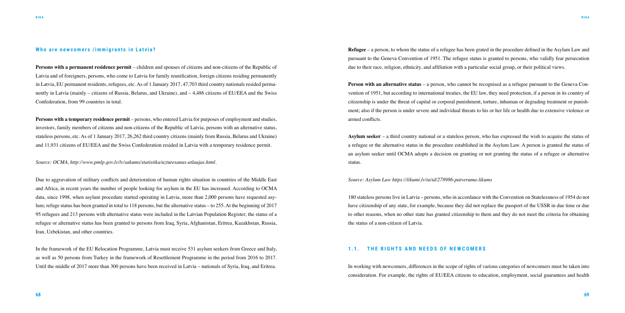#### **Who are newcomers /immigrants in Latvia?**

**Persons with a permanent residence permit** – children and spouses of citizens and non-citizens of the Republic of Latvia and of foreigners, persons, who come to Latvia for family reunification, foreign citizens residing permanently in Latvia, EU permanent residents, refugees, etc. As of 1 January 2017, 47,703 third country nationals resided permanently in Latvia (mainly – citizens of Russia, Belarus, and Ukraine), and – 4,486 citizens of EU/EEA and the Swiss Confederation, from 99 countries in total.

**Persons with a temporary residence permit** – persons, who entered Latvia for purposes of employment and studies, investors, family members of citizens and non-citizens of the Republic of Latvia, persons with an alternative status, stateless persons, etc. As of 1 January 2017, 26,262 third country citizens (mainly from Russia, Belarus and Ukraine) and 11,931 citizens of EU/EEA and the Swiss Confederation resided in Latvia with a temporary residence permit.

*Source: OCMA, http://www.pmlp.gov.lv/lv/sakums/statistika/uzturesanas-atlaujas.html.* 

Due to aggravation of military conflicts and deterioration of human rights situation in countries of the Middle East and Africa, in recent years the number of people looking for asylum in the EU has increased. According to OCMA data, since 1998, when asylum procedure started operating in Latvia, more than 2,000 persons have requested asylum; refuge status has been granted in total to 118 persons, but the alternative status – to 255. At the beginning of 2017 95 refugees and 213 persons with alternative status were included in the Latvian Population Register; the status of a refugee or alternative status has been granted to persons from Iraq, Syria, Afghanistan, Eritrea, Kazakhstan, Russia, Iran, Uzbekistan, and other countries.

**Person with an alternative status** – a person, who cannot be recognised as a refugee pursuant to the Geneva Convention of 1951, but according to international treaties, the EU law, they need protection, if a person in its country of citizenship is under the threat of capital or corporal punishment, torture, inhuman or degrading treatment or punishment; also if the person is under severe and individual threats to his or her life or health due to extensive violence or armed conflicts.

In the framework of the EU Relocation Programme, Latvia must receive 531 asylum seekers from Greece and Italy, as well as 50 persons from Turkey in the framework of Resettlement Programme in the period from 2016 to 2017. Until the middle of 2017 more than 300 persons have been received in Latvia – nationals of Syria, Iraq, and Eritrea.

**Refugee** – a person, to whom the status of a refugee has been grated in the procedure defined in the Asylum Law and pursuant to the Geneva Convention of 1951. The refugee status is granted to persons, who validly fear persecution due to their race, religion, ethnicity, and affiliation with a particular social group, or their political views.

**Asylum seeker** – a third country national or a stateless person, who has expressed the wish to acquire the status of a refugee or the alternative status in the procedure established in the Asylum Law. A person is granted the status of an asylum seeker until OCMA adopts a decision on granting or not granting the status of a refugee or alternative status.

*Source: Asylum Law https://likumi.lv/ta/id/278986-patveruma-likums* 

180 stateless persons live in Latvia – persons, who in accordance with the Convention on Statelessness of 1954 do not have citizenship of any state, for example, because they did not replace the passport of the USSR in due time or due to other reasons, when no other state has granted citizenship to them and they do not meet the criteria for obtaining the status of a non-citizen of Latvia.

#### 1.1. **THE RIGHTS AND NEEDS OF NEWCOMERS**

In working with newcomers, differences in the scope of rights of various categories of newcomers must be taken into consideration. For example, the rights of EU/EEA citizens to education, employment, social guarantees and health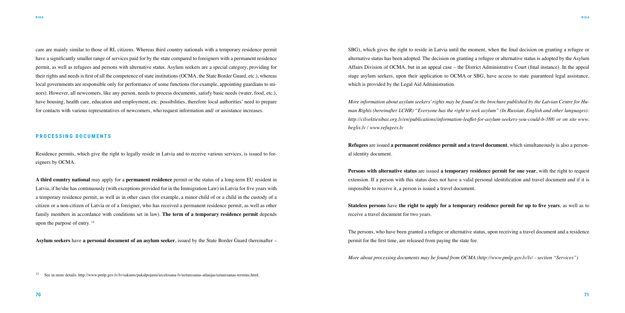care are mainly similar to those of RL citizens. Whereas third country nationals with a temporary residence permit have a significantly smaller range of services paid for by the state compared to foreigners with a permanent residence permit, as well as refugees and persons with alternative status. Asylum seekers are a special category, providing for their rights and needs is first of all the competence of state institutions (OCMA, the State Border Guard, etc.), whereas local governments are responsible only for performance of some functions (for example, appointing guardians to minors). However, all newcomers, like any person, needs to process documents, satisfy basic needs (water, food, etc.), have housing, health care, education and employment, etc. possibilities, therefore local authorities' need to prepare for contacts with various representatives of newcomers, who request information and/ or assistance increases.

#### **PROCESSING DOCUMENTS**

Residence permits, which give the right to legally reside in Latvia and to receive various services, is issued to foreigners by OCMA.

**A third country national** may apply for a **permanent residence** permit or the status of a long-term EU resident in Latvia, if he/she has continuously (with exceptions provided for in the Immigration Law) in Latvia for five years with a temporary residence permit, as well as in other cases (for example, a minor child of or a child in the custody of a citizen or a non-citizen of Latvia or of a foreigner, who has received a permanent residence permit, as well as other family members in accordance with conditions set in law). **The term of a temporary residence permit** depends upon the purpose of entry. <sup>12</sup>

**Asylum seekers** have **a personal document of an asylum seeker**, issued by the State Border Guard (hereinafter –

SBG), which gives the right to reside in Latvia until the moment, when the final decision on granting a refugee or alternative status has been adopted. The decision on granting a refugee or alternative status is adopted by the Asylum Affairs Division of OCMA, but in an appeal case – the District Administrative Court (final instance). In the appeal stage asylum seekers, upon their application to OCMA or SBG, have access to state guaranteed legal assistance, which is provided by the Legal Aid Administration.

*More information about asylum seekers' rights may be found in the brochure published by the Latvian Centre for Human Rights (hereinafter LCHR) "Everyone has the right to seek asylum" (In Russian, English and other languages): http://cilvektiesibas.org.lv/en/publications/information-leaflet-for-asylum-seekers-you-could-b-388/ or on site www. beglis.lv / www.refugees.lv* 

**Refugees** are issued **a permanent residence permit and a travel document**, which simultaneously is also a personal identity document.

**Persons with alternative status** are issued **a temporary residence permit for one year**, with the right to request extension. If a person with this status does not have a valid personal identification and travel document and if it is impossible to receive it, a person is issued a travel document.

**Stateless persons** have **the right to apply for a temporary residence permit for up to five years**, as well as to receive a travel document for two years.

The persons, who have been granted a refugee or alternative status, upon receiving a travel document and a residence permit for the first time, are released from paying the state fee.

*More about processing documents may be found from OCMA (http://www.pmlp.gov.lv/lv/ - section "Services")* 

<sup>12</sup> See in more details: http://www.pmlp.gov.lv/lv/sakums/pakalpojumi/iecelosana-lv/uzturesanas-atlaujas/uzturesanas-termins.html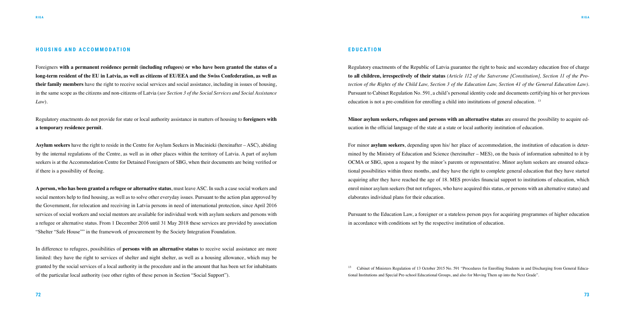#### **HOUSING AND ACCOMMODATION**

Foreigners **with a permanent residence permit (including refugees) or who have been granted the status of a long-term resident of the EU in Latvia, as well as citizens of EU/EEA and the Swiss Confederation, as well as their family members** have the right to receive social services and social assistance, including in issues of housing, in the same scope as the citizens and non-citizens of Latvia (*see Section 3 of the Social Services and Social Assistance Law*).

Regulatory enactments do not provide for state or local authority assistance in matters of housing to **foreigners with a temporary residence permit**.

**Asylum seekers** have the right to reside in the Centre for Asylum Seekers in Mucinieki (hereinafter – ASC), abiding by the internal regulations of the Centre, as well as in other places within the territory of Latvia. A part of asylum seekers is at the Accommodation Centre for Detained Foreigners of SBG, when their documents are being verified or if there is a possibility of fleeing.

**A person, who has been granted a refugee or alternative status**, must leave ASC. In such a case social workers and social mentors help to find housing, as well as to solve other everyday issues. Pursuant to the action plan approved by the Government, for relocation and receiving in Latvia persons in need of international protection, since April 2016 services of social workers and social mentors are available for individual work with asylum seekers and persons with a refugee or alternative status. From 1 December 2016 until 31 May 2018 these services are provided by association "Shelter "Safe House"" in the framework of procurement by the Society Integration Foundation.

In difference to refugees, possibilities of **persons with an alternative status** to receive social assistance are more limited: they have the right to services of shelter and night shelter, as well as a housing allowance, which may be granted by the social services of a local authority in the procedure and in the amount that has been set for inhabitants of the particular local authority (see other rights of these person in Section "Social Support").

<sup>13</sup> Cabinet of Ministers Regulation of 13 October 2015 No. 591 "Procedures for Enrolling Students in and Discharging from General Educational Institutions and Special Pre-school Educational Groups, and also for Moving Them up into the Next Grade".

#### **EDUCATION**

Regulatory enactments of the Republic of Latvia guarantee the right to basic and secondary education free of charge **to all children, irrespectively of their status** *(Article 112 of the Satversme [Constitution], Section 11 of the Protection of the Rights of the Child Law, Section 3 of the Education Law, Section 41 of the General Education Law)*. Pursuant to Cabinet Regulation No. 591, a child's personal identity code and documents certifying his or her previous education is not a pre-condition for enrolling a child into institutions of general education. 13

**Minor asylum seekers, refugees and persons with an alternative status** are ensured the possibility to acquire education in the official language of the state at a state or local authority institution of education.

For minor **asylum seekers**, depending upon his/ her place of accommodation, the institution of education is determined by the Ministry of Education and Science (hereinafter – MES), on the basis of information submitted to it by OCMA or SBG, upon a request by the minor's parents or representative. Minor asylum seekers are ensured educational possibilities within three months, and they have the right to complete general education that they have started acquiring after they have reached the age of 18. MES provides financial support to institutions of education, which enrol minor asylum seekers (but not refugees, who have acquired this status, or persons with an alternative status) and elaborates individual plans for their education.

Pursuant to the Education Law, a foreigner or a stateless person pays for acquiring programmes of higher education in accordance with conditions set by the respective institution of education.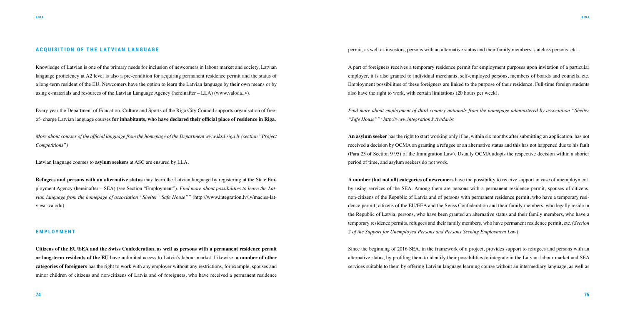#### **ACQUISITION OF THE LATVIAN LANGUAGE**

Knowledge of Latvian is one of the primary needs for inclusion of newcomers in labour market and society. Latvian language proficiency at A2 level is also a pre-condition for acquiring permanent residence permit and the status of a long-term resident of the EU. Newcomers have the option to learn the Latvian language by their own means or by using e-materials and resources of the Latvian Language Agency (hereinafter – LLA) (www.valoda.lv).

Every year the Department of Education, Culture and Sports of the Riga City Council supports organisation of freeof- charge Latvian language courses **for inhabitants, who have declared their official place of residence in Riga**.

*More about courses of the official language from the homepage of the Department www.iksd.riga.lv (section "Project Competitions")*

Latvian language courses to **asylum seekers** at ASC are ensured by LLA.

**Refugees and persons with an alternative status** may learn the Latvian language by registering at the State Employment Agency (hereinafter – SEA) (see Section "Employment"). *Find more about possibilities to learn the Latvian language from the homepage of association "Shelter "Safe House""* (http://www.integration.lv/lv/macies-latviesu-valodu)

#### **E M P L O Y M E N T**

**Citizens of the EU/EEA and the Swiss Confederation, as well as persons with a permanent residence permit or long-term residents of the EU** have unlimited access to Latvia's labour market. Likewise, **a number of other categories of foreigners** has the right to work with any employer without any restrictions, for example, spouses and minor children of citizens and non-citizens of Latvia and of foreigners, who have received a permanent residence permit, as well as investors, persons with an alternative status and their family members, stateless persons, etc.

A part of foreigners receives a temporary residence permit for employment purposes upon invitation of a particular employer, it is also granted to individual merchants, self-employed persons, members of boards and councils, etc. Employment possibilities of these foreigners are linked to the purpose of their residence. Full-time foreign students also have the right to work, with certain limitations (20 hours per week).

*Find more about employment of third country nationals from the homepage administered by association "Shelter "Safe House"": http://www.integration.lv/lv/darbs*

**An asylum seeker** has the right to start working only if he, within six months after submitting an application, has not received a decision by OCMA on granting a refugee or an alternative status and this has not happened due to his fault (Para 23 of Section 9 95) of the Immigration Law). Usually OCMA adopts the respective decision within a shorter period of time, and asylum seekers do not work.

**A number (but not all) categories of newcomers** have the possibility to receive support in case of unemployment, by using services of the SEA. Among them are persons with a permanent residence permit, spouses of citizens, non-citizens of the Republic of Latvia and of persons with permanent residence permit, who have a temporary residence permit, citizens of the EU/EEA and the Swiss Confederation and their family members, who legally reside in the Republic of Latvia, persons, who have been granted an alternative status and their family members, who have a temporary residence permits, refugees and their family members, who have permanent residence permit, etc. *(Section 2 of the Support for Unemployed Persons and Persons Seeking Employment Law)*.

Since the beginning of 2016 SEA, in the framework of a project, provides support to refugees and persons with an alternative status, by profiling them to identify their possibilities to integrate in the Latvian labour market and SEA services suitable to them by offering Latvian language learning course without an intermediary language, as well as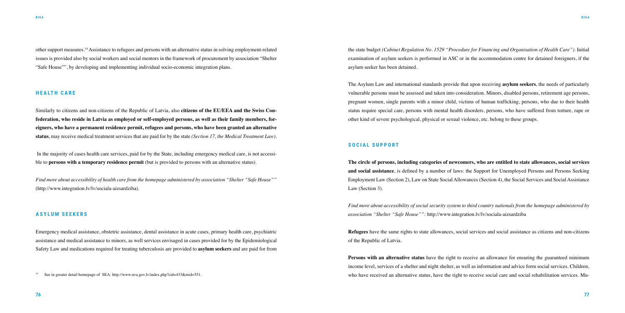other support measures.14 Assistance to refugees and persons with an alternative status in solving employment-related issues is provided also by social workers and social mentors in the framework of procurement by association "Shelter "Safe House"", by developing and implementing individual socio-economic integration plans.

#### **H E A LT H C A R E**

Similarly to citizens and non-citizens of the Republic of Latvia, also **citizens of the EU/EEA and the Swiss Confederation, who reside in Latvia as employed or self-employed persons, as well as their family members, foreigners, who have a permanent residence permit, refugees and persons, who have been granted an alternative status**, may receive medical treatment services that are paid for by the state *(Section 17, the Medical Treatment Law)*.

 In the majority of cases health care services, paid for by the State, including emergency medical care, is not accessible to **persons with a temporary residence permit** (but is provided to persons with an alternative status).

*Find more about accessibility of health care from the homepage administered by association "Shelter "Safe House""*  (http://www.integration.lv/lv/sociala-aizsardziba).

#### **A S Y L U M S E E K E R S**

Emergency medical assistance, obstetric assistance, dental assistance in acute cases, primary health care, psychiatric assistance and medical assistance to minors, as well services envisaged in cases provided for by the Epidemiological Safety Law and medications required for treating tuberculosis are provided to **asylum seekers** and are paid for from

<sup>14</sup> See in greater detail homepage of SEA: http://www.nva.gov.lv/index.php?cid=433&mid=551.

the state budget *(Cabinet Regulation No. 1529 "Procedure for Financing and Organisation of Health Care")*. Initial examination of asylum seekers is performed in ASC or in the accommodation centre for detained foreigners, if the asylum seeker has been detained.

The Asylum Law and international standards provide that upon receiving **asylum seekers**, the needs of particularly vulnerable persons must be assessed and taken into consideration. Minors, disabled persons, retirement age persons, pregnant women, single parents with a minor child, victims of human trafficking, persons, who due to their health status require special care, persons with mental health disorders, persons, who have suffered from torture, rape or other kind of severe psychological, physical or sexual violence, etc. belong to these groups.

#### **SOCIAL SUPPORT**

**The circle of persons, including categories of newcomers, who are entitled to state allowances, social services and social assistance**, is defined by a number of laws: the Support for Unemployed Persons and Persons Seeking Employment Law (Section 2), Law on State Social Allowances (Section 4), the Social Services and Social Assistance Law (Section 3).

*Find more about accessibility of social security system to third country nationals from the homepage administered by association "Shelter "Safe House"":* http://www.integration.lv/lv/sociala-aizsardziba

**Refugees** have the same rights to state allowances, social services and social assistance as citizens and non-citizens of the Republic of Latvia.

**Persons with an alternative status** have the right to receive an allowance for ensuring the guaranteed minimum income level, services of a shelter and night shelter, as well as information and advice form social services. Children, who have received an alternative status, have the right to receive social care and social rehabilitation services. Mu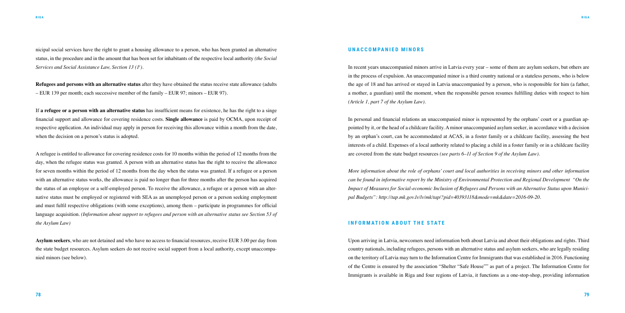nicipal social services have the right to grant a housing allowance to a person, who has been granted an alternative status, in the procedure and in the amount that has been set for inhabitants of the respective local authority *(the Social Services and Social Assistance Law, Section 13 (1<sup>1</sup> )*.

**Refugees and persons with an alternative status** after they have obtained the status receive state allowance (adults – EUR 139 per month; each successive member of the family – EUR 97; minors – EUR 97).

If **a refugee or a person with an alternative status** has insufficient means for existence, he has the right to a singe financial support and allowance for covering residence costs. **Single allowance** is paid by OCMA, upon receipt of respective application. An individual may apply in person for receiving this allowance within a month from the date, when the decision on a person's status is adopted.

A refugee is entitled to allowance for covering residence costs for 10 months within the period of 12 months from the day, when the refugee status was granted. A person with an alternative status has the right to receive the allowance for seven months within the period of 12 months from the day when the status was granted. If a refugee or a person with an alternative status works, the allowance is paid no longer than for three months after the person has acquired the status of an employee or a self-employed person. To receive the allowance, a refugee or a person with an alternative status must be employed or registered with SEA as an unemployed person or a person seeking employment and must fulfil respective obligations (with some exceptions), among them – participate in programmes for official language acquisition. *(Information about support to refugees and person with an alternative status see Section 53 of the Asylum Law)* 

**Asylum seekers**, who are not detained and who have no access to financial resources, receive EUR 3.00 per day from the state budget resources. Asylum seekers do not receive social support from a local authority, except unaccompanied minors (see below).

#### **UNACCOMPANIED MINORS**

In recent years unaccompanied minors arrive in Latvia every year – some of them are asylum seekers, but others are in the process of expulsion. An unaccompanied minor is a third country national or a stateless persons, who is below the age of 18 and has arrived or stayed in Latvia unaccompanied by a person, who is responsible for him (a father, a mother, a guardian) until the moment, when the responsible person resumes fulfilling duties with respect to him *(Article 1, part 7 of the Asylum Law)*.

In personal and financial relations an unaccompanied minor is represented by the orphans' court or a guardian appointed by it, or the head of a childcare facility. A minor unaccompanied asylum seeker, in accordance with a decision by an orphan's court, can be accommodated at ACAS, in a foster family or a childcare facility, assessing the best interests of a child. Expenses of a local authority related to placing a child in a foster family or in a childcare facility are covered from the state budget resources *(see parts 6–11 of Section 9 of the Asylum Law)*.

*More information about the role of orphans' court and local authorities in receiving minors and other information can be found in informative report by the Ministry of Environmental Protection and Regional Development "On the Impact of Measures for Social-economic Inclusion of Refugees and Persons with an Alternative Status upon Municipal Budgets": http://tap.mk.gov.lv/lv/mk/tap/?pid=40393118&mode=mk&date=2016-09-20.* 

#### **INFORMATION ABOUT THE STATE**

Upon arriving in Latvia, newcomers need information both about Latvia and about their obligations and rights. Third country nationals, including refugees, persons with an alternative status and asylum seekers, who are legally residing on the territory of Latvia may turn to the Information Centre for Immigrants that was established in 2016. Functioning of the Centre is ensured by the association "Shelter "Safe House"" as part of a project. The Information Centre for Immigrants is available in Riga and four regions of Latvia, it functions as a one-stop-shop, providing information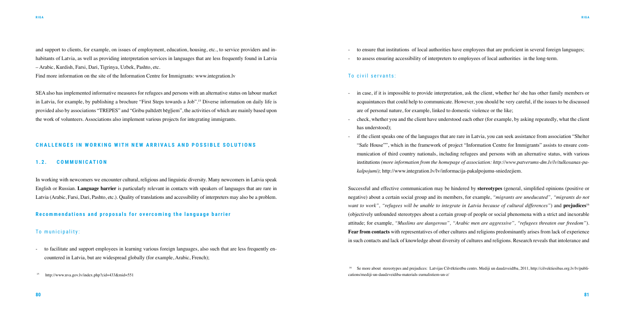and support to clients, for example, on issues of employment, education, housing, etc., to service providers and inhabitants of Latvia, as well as providing interpretation services in languages that are less frequently found in Latvia – Arabic, Kurdish, Farsi, Dari, Tigrinya, Uzbek, Pashto, etc.

Find more information on the site of the Information Centre for Immigrants: www.integration.lv

SEA also has implemented informative measures for refugees and persons with an alternative status on labour market in Latvia, for example, by publishing a brochure "First Steps towards a Job".<sup>15</sup> Diverse information on daily life is provided also by associations "TREPES" and "Gribu palīdzēt bēgļiem", the activities of which are mainly based upon the work of volunteers. Associations also implement various projects for integrating immigrants.

- to facilitate and support employees in learning various foreign languages, also such that are less frequently encountered in Latvia, but are widespread globally (for example, Arabic, French);
- <sup>15</sup> http://www.nva.gov.lv/index.php?cid=433&mid=551

#### **CHALLENGES IN WORKING WITH NEW ARRIVALS AND POSSIBLE SOLUTIONS**

#### **1.2. COMMUNICATION**

In working with newcomers we encounter cultural, religious and linguistic diversity. Many newcomers in Latvia speak English or Russian. **Language barrier** is particularly relevant in contacts with speakers of languages that are rare in Latvia (Arabic, Farsi, Dari, Pashto, etc.). Quality of translations and accessibility of interpreters may also be a problem.

#### **Recommendations and proposals for overcoming the language barrier**

#### To municipality:

if the client speaks one of the languages that are rare in Latvia, you can seek assistance from association "Shelter "Safe House"", which in the framework of project "Information Centre for Immigrants" assists to ensure communication of third country nationals, including refugees and persons with an alternative status, with various institutions *(more information from the homepage of association: http://www.patverums-dm.lv/lv/tulkosanas-pa-*

- to ensure that institutions of local authorities have employees that are proficient in several foreign languages;

- 
- to assess ensuring accessibility of interpreters to employees of local authorities in the long-term.

### To civil servants:

acquaintances that could help to communicate. However, you should be very careful, if the issues to be discussed

- check, whether you and the client have understood each other (for example, by asking repeatedly, what the client

- in case, if it is impossible to provide interpretation, ask the client, whether he/ she has other family members or are of personal nature, for example, linked to domestic violence or the like;
- has understood);
- *kalpojumi)*; http://www.integration.lv/lv/informacija-pakalpojumu-sniedzejiem.

Successful and effective communication may be hindered by **stereotypes** (general, simplified opinions (positive or negative) about a certain social group and its members, for example, *"migrants are uneducated", "migrants do not want to work", "refugees will be unable to integrate in Latvia because of cultural differences"*) and **prejudices**<sup>16</sup> (objectively unfounded stereotypes about a certain group of people or social phenomena with a strict and inexorable attitude; for example, *"Muslims are dangerous", "Arabic men are aggressive", "refugees threaten our freedom"*). **Fear from contacts** with representatives of other cultures and religions predominantly arises from lack of experience in such contacts and lack of knowledge about diversity of cultures and religions. Research reveals that intolerance and

16 Se more about stereotypes and prejudices: Latvijas Cilvēktiesību centrs. Mediji un daudzveidība, 2011, http://cilvektiesibas.org.lv/lv/publications/mediji-un-daudzveidiba-materials-zurnalistiem-un-z/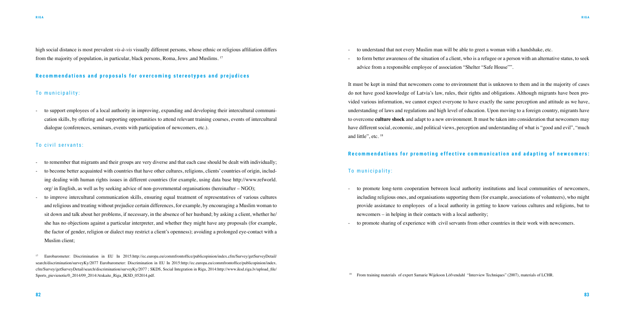high social distance is most prevalent *vis-à-vis* visually different persons, whose ethnic or religious affiliation differs from the majority of population, in particular, black persons, Roma, Jews ,and Muslims. <sup>17</sup>

#### **Recommendations and proposals for overcoming stereotypes and prejudices**

#### To municipality:

- to support employees of a local authority in improving, expanding and developing their intercultural communication skills, by offering and supporting opportunities to attend relevant training courses, events of intercultural dialogue (conferences, seminars, events with participation of newcomers, etc.).

#### To civil servants:

<sup>17</sup> Eurobarometer: Discrimination in EU In 2015:http://ec.europa.eu/commfrontoffice/publicopinion/index.cfm/Survey/getSurveyDetail/ search/discrimination/surveyKy/2077 Eurobarometer: Discrimination in EU In 2015:http://ec.europa.eu/commfrontoffice/publicopinion/index. cfm/Survey/getSurveyDetail/search/discrimination/surveyKy/2077 ; SKDS, Social Integration in Riga, 2014:http://www.iksd.riga.lv/upload\_file/ Sports\_pievienotie/0\_2014/09\_2014/Atskaite\_Riga\_IKSD\_052014.pdf.

- to remember that migrants and their groups are very diverse and that each case should be dealt with individually;
- to become better acquainted with countries that have other cultures, religions, clients' countries of origin, including dealing with human rights issues in different countries (for example, using data base http://www.refworld. org/ in English, as well as by seeking advice of non-governmental organisations (hereinafter – NGO);
- to improve intercultural communication skills, ensuring equal treatment of representatives of various cultures and religious and treating without prejudice certain differences, for example, by encouraging a Muslim woman to sit down and talk about her problems, if necessary, in the absence of her husband; by asking a client, whether he/ she has no objections against a particular interpreter, and whether they might have any proposals (for example, the factor of gender, religion or dialect may restrict a client's openness); avoiding a prolonged eye-contact with a Muslim client;

- to understand that not every Muslim man will be able to greet a woman with a handshake, etc.
- advice from a responsible employee of association "Shelter "Safe House"".

- to form better awareness of the situation of a client, who is a refugee or a person with an alternative status, to seek

It must be kept in mind that newcomers come to environment that is unknown to them and in the majority of cases do not have good knowledge of Latvia's law, rules, their rights and obligations. Although migrants have been provided various information, we cannot expect everyone to have exactly the same perception and attitude as we have, understanding of laws and regulations and high level of education. Upon moving to a foreign country, migrants have to overcome **culture shock** and adapt to a new environment. It must be taken into consideration that newcomers may have different social, economic, and political views, perception and understanding of what is "good and evil", "much and little", etc. <sup>18</sup>

### **Recommendations for promoting effective communication and adapting of newcomers:**

#### To municipality:

including religious ones, and organisations supporting them (for example, associations of volunteers), who might provide assistance to employees of a local authority in getting to know various cultures and religions, but to

- to promote long-term cooperation between local authority institutions and local communities of newcomers, newcomers – in helping in their contacts with a local authority;
- to promote sharing of experience with civil servants from other countries in their work with newcomers.

<sup>18</sup> From training materials of expert Samarie Wijekoon Löfvendahl "Interview Techniques" (2007), materials of LCHR.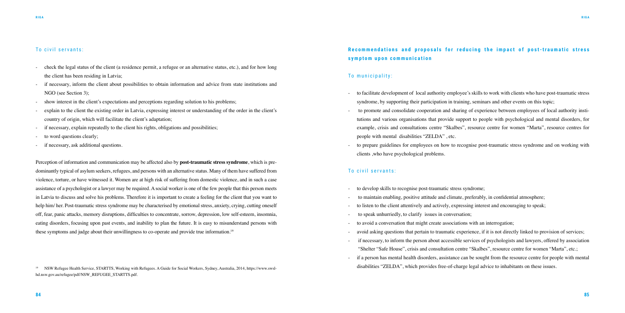- check the legal status of the client (a residence permit, a refugee or an alternative status, etc.), and for how long the client has been residing in Latvia;
- if necessary, inform the client about possibilities to obtain information and advice from state institutions and NGO (see Section 3);
- show interest in the client's expectations and perceptions regarding solution to his problems;
- explain to the client the existing order in Latvia, expressing interest or understanding of the order in the client's country of origin, which will facilitate the client's adaptation;
- if necessary, explain repeatedly to the client his rights, obligations and possibilities;
- to word questions clearly;
- if necessary, ask additional questions.

#### To civil servants:

Perception of information and communication may be affected also by **post-traumatic stress syndrome**, which is predominantly typical of asylum seekers, refugees, and persons with an alternative status. Many of them have suffered from violence, torture, or have witnessed it. Women are at high risk of suffering from domestic violence, and in such a case assistance of a psychologist or a lawyer may be required. A social worker is one of the few people that this person meets in Latvia to discuss and solve his problems. Therefore it is important to create a feeling for the client that you want to help him/ her. Post-traumatic stress syndrome may be characterised by emotional stress, anxiety, crying, cutting oneself off, fear, panic attacks, memory disruptions, difficulties to concentrate, sorrow, depression, low self-esteem, insomnia, eating disorders, focusing upon past events, and inability to plan the future. It is easy to misunderstand persons with these symptoms and judge about their unwillingness to co-operate and provide true information.<sup>19</sup>

- if necessary, to inform the person about accessible services of psychologists and lawyers, offered by association if a person has mental health disorders, assistance can be sought from the resource centre for people with mental

- to develop skills to recognise post-traumatic stress syndrome;
- to maintain enabling, positive attitude and climate, preferably, in confidential atmosphere;
- to listen to the client attentively and actively, expressing interest and encouraging to speak;
- to speak unhurriedly, to clarify issues in conversation;
- to avoid a conversation that might create associations with an interrogation;
- avoid asking questions that pertain to traumatic experience, if it is not directly linked to provision of services;
- "Shelter "Safe House", crisis and consultation centre "Skalbes", resource centre for women "Marta", etc.;
- 

<sup>19</sup> NSW Refugee Health Service, STARTTS, Working with Refugees. A Guide for Social Workers, Sydney, Australia, 2014, https://www.swsl-<br>disabilities "ZELDA", which provides free-of-charge legal advice to inhabitants on the hd.nsw.gov.au/refugee/pdf/NSW\_REFUGEE\_STARTTS.pdf.

## Recommendations and proposals for reducing the impact of post-traumatic stress s y m p t o m u p o n c o m m u n i c a t i o n

## To municipality:

- to facilitate development of local authority employee's skills to work with clients who have post-traumatic stress syndrome, by supporting their participation in training, seminars and other events on this topic;
- people with mental disabilities "ZELDA" , etc.
- to prepare guidelines for employees on how to recognise post-traumatic stress syndrome and on working with clients ,who have psychological problems.

- to promote and consolidate cooperation and sharing of experience between employees of local authority institutions and various organisations that provide support to people with psychological and mental disorders, for example, crisis and consultations centre "Skalbes", resource centre for women "Marta", resource centres for

#### To civil servants: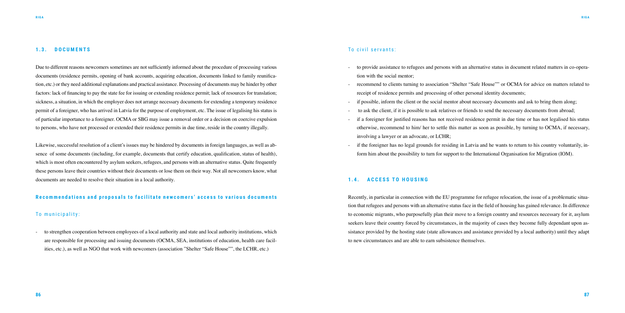#### **1.3. DOCUMENTS**

Due to different reasons newcomers sometimes are not sufficiently informed about the procedure of processing various documents (residence permits, opening of bank accounts, acquiring education, documents linked to family reunification, etc.) or they need additional explanations and practical assistance. Processing of documents may be hinder by other factors: lack of financing to pay the state fee for issuing or extending residence permit; lack of resources for translation; sickness, a situation, in which the employer does not arrange necessary documents for extending a temporary residence permit of a foreigner, who has arrived in Latvia for the purpose of employment, etc. The issue of legalising his status is of particular importance to a foreigner. OCMA or SBG may issue a removal order or a decision on coercive expulsion to persons, who have not processed or extended their residence permits in due time, reside in the country illegally.

Likewise, successful resolution of a client's issues may be hindered by documents in foreign languages, as well as absence of some documents (including, for example, documents that certify education, qualification, status of health), which is most often encountered by asylum seekers, refugees, and persons with an alternative status. Quite frequently these persons leave their countries without their documents or lose them on their way. Not all newcomers know, what documents are needed to resolve their situation in a local authority.

#### **Recommendations and proposals to facilitate newcomers' access to various documents**

### To municipality:

- to strengthen cooperation between employees of a local authority and state and local authority institutions, which are responsible for processing and issuing documents (OCMA, SEA, institutions of education, health care facilities, etc.), as well as NGO that work with newcomers (association "Shelter "Safe House"", the LCHR, etc.)

### To civil servants:

- to provide assistance to refugees and persons with an alternative status in document related matters in co-opera-

- tion with the social mentor;
- recommend to clients turning to association "Shelter "Safe House"" or OCMA for advice on matters related to receipt of residence permits and processing of other personal identity documents;
- if possible, inform the client or the social mentor about necessary documents and ask to bring them along;
- to ask the client, if it is possible to ask relatives or friends to send the necessary documents from abroad;
- if a foreigner for justified reasons has not received residence permit in due time or has not legalised his status otherwise, recommend to him/ her to settle this matter as soon as possible, by turning to OCMA, if necessary, involving a lawyer or an advocate, or LCHR;
- if the foreigner has no legal grounds for residing in Latvia and he wants to return to his country voluntarily, inform him about the possibility to turn for support to the International Organisation for Migration (IOM).

#### **1.4. ACCESS TO HOUSING**

Recently, in particular in connection with the EU programme for refugee relocation, the issue of a problematic situation that refugees and persons with an alternative status face in the field of housing has gained relevance. In difference to economic migrants, who purposefully plan their move to a foreign country and resources necessary for it, asylum seekers leave their country forced by circumstances, in the majority of cases they become fully dependant upon assistance provided by the hosting state (state allowances and assistance provided by a local authority) until they adapt to new circumstances and are able to earn subsistence themselves.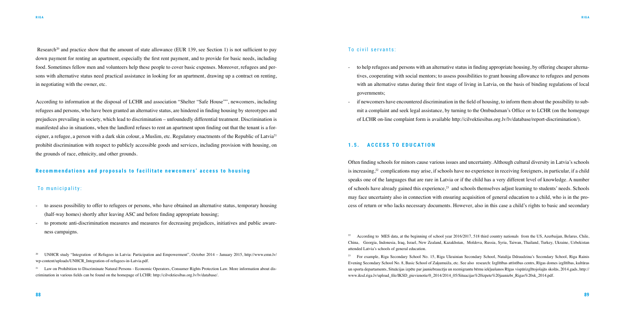Research<sup>20</sup> and practice show that the amount of state allowance (EUR 139, see Section 1) is not sufficient to pay down payment for renting an apartment, especially the first rent payment, and to provide for basic needs, including food. Sometimes fellow men and volunteers help these people to cover basic expenses. Moreover, refugees and persons with alternative status need practical assistance in looking for an apartment, drawing up a contract on renting, in negotiating with the owner, etc.

According to information at the disposal of LCHR and association "Shelter "Safe House"", newcomers, including refugees and persons, who have been granted an alternative status, are hindered in finding housing by stereotypes and prejudices prevailing in society, which lead to discrimination – unfoundedly differential treatment. Discrimination is manifested also in situations, when the landlord refuses to rent an apartment upon finding out that the tenant is a foreigner, a refugee, a person with a dark skin colour, a Muslim, etc. Regulatory enactments of the Republic of Latvia<sup>21</sup> prohibit discrimination with respect to publicly accessible goods and services, including provision with housing, on the grounds of race, ethnicity, and other grounds.

if newcomers have encountered discrimination in the field of housing, to inform them about the possibility to submit a complaint and seek legal assistance, by turning to the Ombudsman's Office or to LCHR (on the homepage

### **Recommendations and proposals to facilitate newcomers' access to housing**

#### To municipality:

- to assess possibility to offer to refugees or persons, who have obtained an alternative status, temporary housing (half-way homes) shortly after leaving ASC and before finding appropriate housing;
- to promote anti-discrimination measures and measures for decreasing prejudices, initiatives and public awareness campaigns.

## To civil servants:

<sup>21</sup> Law on Prohibition to Discriminate Natural Persons - Economic Operators, Consumer Rights Protection Law. More information about discrimination in various fields can be found on the homepage of LCHR: http://cilvektiesibas.org.lv/lv/database/.

tives, cooperating with social mentors; to assess possibilities to grant housing allowance to refugees and persons with an alternative status during their first stage of living in Latvia, on the basis of binding regulations of local

- to help refugees and persons with an alternative status in finding appropriate housing, by offering cheaper alternagovernments;
- of LCHR on-line complaint form is available http://cilvektiesibas.org.lv/lv/database/report-discrimination/).

#### 1.5. **ACCESS TO EDUCATION**

Often finding schools for minors cause various issues and uncertainty. Although cultural diversity in Latvia's schools is increasing,<sup>22</sup> complications may arise, if schools have no experience in receiving foreigners, in particular, if a child speaks one of the languages that are rare in Latvia or if the child has a very different level of knowledge. A number of schools have already gained this experience,23 and schools themselves adjust learning to students' needs. Schools may face uncertainty also in connection with ensuring acquisition of general education to a child, who is in the process of return or who lacks necessary documents. However, also in this case a child's rights to basic and secondary

<sup>20</sup> UNHCR study "Integration of Refugees in Latvia: Participation and Empowerment", October 2014 – January 2015, http://www.emn.lv/ wp-content/uploads/UNHCR\_Integration-of-refugees-in-Latvia.pdf.

<sup>&</sup>lt;sup>22</sup> According to MES data, at the beginning of school year 2016/2017, 518 third country nationals from the US, Azerbaijan, Belarus, Chile, China, Georgia, Indonesia, Iraq, Israel, New Zealand, Kazakhstan, Moldova, Russia, Syria, Taiwan, Thailand, Turkey, Ukraine, Uzbekistan attended Latvia's schools of general education.

<sup>23</sup> For example, Riga Secondary School No. 15, Riga Ukrainian Secondary School, Natalija Ddraudzina's Secondary School, Riga Rainis Evening Secondary School No. 8, Basic School of Zaķumuiža, etc. See also research: Izglītības attīstības centrs, Rīgas domes izglītības, kultūras un sporta departaments, Situācijas izpēte par jauniebraucēju un reemigrantu bērnu iekļaušanos Rīgas vispārizglītojošajās skolās, 2014.gads, http:// www.iksd.riga.lv/upload\_file/IKSD\_pievienotie/0\_2014/2014\_05/Situacijas%20izpete%20jauniebr\_Rigas%20sk\_2014.pdf.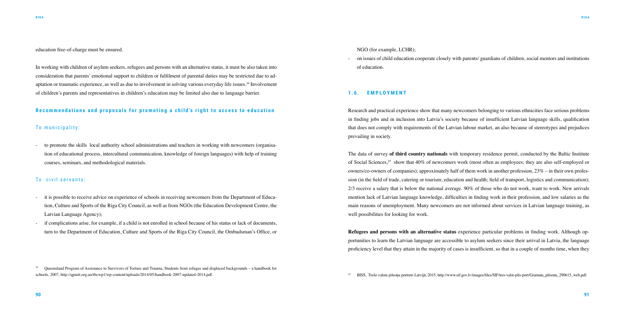education free-of-charge must be ensured.

In working with children of asylum seekers, refugees and persons with an alternative status, it must be also taken into consideration that parents' emotional support to children or fulfilment of parental duties may be restricted due to adaptation or traumatic experience, as well as due to involvement in solving various everyday life issues.24 Involvement of children's parents and representatives in children's education may be limited also due to language barrier.

### **Recommendations and proposals for promoting a child's right to access to education**

#### To municipality:

- to promote the skills local authority school administrations and teachers in working with newcomers (organisation of educational process, intercultural communication, knowledge of foreign languages) with help of training courses, seminars, and methodological materials.

#### To civil servants:

- it is possible to receive advice on experience of schools in receiving newcomers from the Department of Education, Culture and Sports of the Riga City Council, as well as from NGOs (the Education Development Centre, the Latvian Language Agency);
- if complications arise, for example, if a child is not enrolled in school because of his status or lack of documents, turn to the Department of Education, Culture and Sports of the Riga City Council, the Ombudsman's Office, or

<sup>24</sup> Oueensland Program of Assistance to Survivors of Torture and Trauma, Students from refugee and displaced backgrounds – a handbook for schools, 2007, http://qpastt.org.au/tbcwp1/wp-content/uploads/2014/05/handbook-2007-updated-2014.pdf.<br>
25 BISS, Trešo valstu pilsonu portrets Latvijā, 2015, http://www.sif.gov.lv/images/files/SIF/tres-valst-pils-port/Grama

NGO (for example, LCHR);

#### - on issues of child education cooperate closely with parents/ guardians of children, social mentors and institutions

of education.

#### **1.6. EMPLOYMENT**

Research and practical experience show that many newcomers belonging to various ethnicities face serious problems in finding jobs and in inclusion into Latvia's society because of insufficient Latvian language skills, qualification that does not comply with requirements of the Latvian labour market, an also because of stereotypes and prejudices prevailing in society.

The data of survey **of third country nationals** with temporary residence permit, conducted by the Baltic Institute of Social Sciences,25 show that 40% of newcomers work (most often as employees; they are also self-employed or owners/co-owners of companies); approximately half of them work in another profession,  $23\%$  – in their own profession (in the field of trade, catering or tourism; education and health; field of transport, logistics and communication); 2/3 receive a salary that is below the national average. 90% of those who do not work, want to work. New arrivals mention lack of Latvian language knowledge, difficulties in finding work in their profession, and low salaries as the main reasons of unemployment. Many newcomers are not informed about services in Latvian language training, as well possibilities for looking for work.

**Refugees and persons with an alternative status** experience particular problems in finding work. Although opportunities to learn the Latvian language are accessible to asylum seekers since their arrival in Latvia, the language proficiency level that they attain in the majority of cases is insufficient, so that in a couple of months time, when they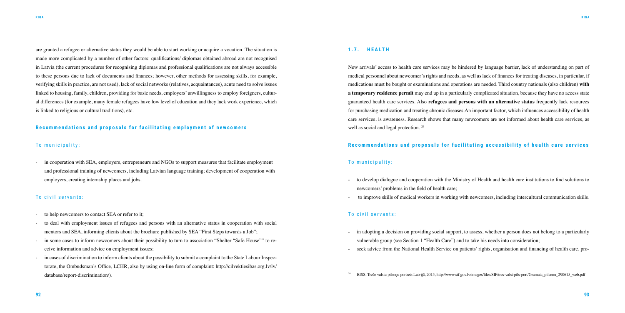are granted a refugee or alternative status they would be able to start working or acquire a vocation. The situation is made more complicated by a number of other factors: qualifications/ diplomas obtained abroad are not recognised in Latvia (the current procedures for recognising diplomas and professional qualifications are not always accessible to these persons due to lack of documents and finances; however, other methods for assessing skills, for example, verifying skills in practice, are not used), lack of social networks (relatives, acquaintances), acute need to solve issues linked to housing, family, children, providing for basic needs, employers' unwillingness to employ foreigners, cultural differences (for example, many female refugees have low level of education and they lack work experience, which is linked to religious or cultural traditions), etc.

in cooperation with SEA, employers, entrepreneurs and NGOs to support measures that facilitate employment and professional training of newcomers, including Latvian language training; development of cooperation with employers, creating internship places and jobs.

## **Recommendations and proposals for facilitating employment of newcomers**

#### To municipality:

- to help new comers to contact SEA or refer to it;
- to deal with employment issues of refugees and persons with an alternative status in cooperation with social mentors and SEA, informing clients about the brochure published by SEA "First Steps towards a Job";
- in some cases to inform newcomers about their possibility to turn to association "Shelter "Safe House"" to receive information and advice on employment issues;
- in cases of discrimination to inform clients about the possibility to submit a complaint to the State Labour Inspectorate, the Ombudsman's Office, LCHR, also by using on-line form of complaint: http://cilvektiesibas.org.lv/lv/ database/report-discrimination/).

#### To civil servants:

- vulnerable group (see Section 1 "Health Care") and to take his needs into consideration;
- seek advice from the National Health Service on patients' rights, organisation and financing of health care, pro-

#### **1.7. H E A LT H**

New arrivals' access to health care services may be hindered by language barrier, lack of understanding on part of medical personnel about newcomer's rights and needs, as well as lack of finances for treating diseases, in particular, if medications must be bought or examinations and operations are needed. Third country nationals (also children) **with a temporary residence permit** may end up in a particularly complicated situation, because they have no access state guaranteed health care services. Also **refugees and persons with an alternative status** frequently lack resources for purchasing medication and treating chronic diseases.An important factor, which influences accessibility of health care services, is awareness. Research shows that many newcomers are not informed about health care services, as well as social and legal protection. 26

### **Recommendations and proposals for facilitating accessibility of health care services**

#### To municipality:

- to develop dialogue and cooperation with the Ministry of Health and health care institutions to find solutions to - to improve skills of medical workers in working with newcomers, including intercultural communication skills.

- newcomers' problems in the field of health care;
- 

#### To civil servants:

- in adopting a decision on providing social support, to assess, whether a person does not belong to a particularly

<sup>26</sup> BISS, Trešo valstu pilsoņu portrets Latvijā, 2015, http://www.sif.gov.lv/images/files/SIF/tres-valst-pils-port/Gramata\_pilsonu\_290615\_web.pdf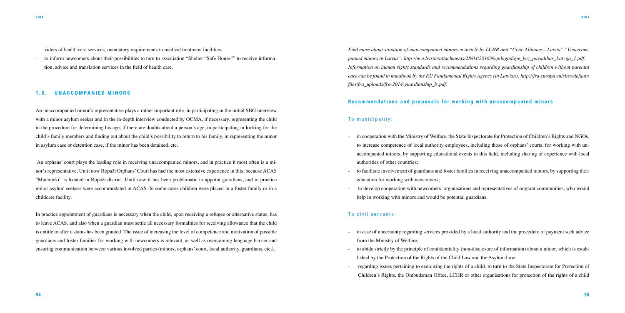viders of health care services, mandatory requirements to medical treatment facilities;

to inform newcomers about their possibilities to turn to association "Shelter "Safe House"" to receive information, advice and translation services in the field of health care.

#### **1.8. UNACCOMPANIED MINORS**

An unaccompanied minor's representative plays a rather important role, in participating in the initial SBG interview with a minor asylum seeker and in the in-depth interview conducted by OCMA, if necessary, representing the child in the procedure for determining his age, if there are doubts about a person's age, in participating in looking for the child's family members and finding out about the child's possibility to return to his family, in representing the minor in asylum case or detention case, if the minor has been detained, etc.

 An orphans' court plays the leading role in receiving unaccompanied minors, and in practice it most often is a minor's representative. Until now Ropaži Orphans' Court has had the most extensive experience in this, because ACAS "Mucinieki" is located in Ropaži district. Until now it has been problematic to appoint guardians, and in practice minor asylum seekers were accommodated in ACAS. In some cases children were placed in a foster family or in a childcare facility.

In practice appointment of guardians is necessary when the child, upon receiving a refugee or alternative status, has to leave ACAS, and also when a guardian must settle all necessary formalities for receiving allowance that the child is entitle to after a status has been granted. The issue of increasing the level of competence and motivation of possible guardians and foster families for working with newcomers is relevant, as well as overcoming language barrier and ensuring communication between various involved parties (minors, orphans' court, local authority, guardians, etc.).

> regarding issues pertaining to exercising the rights of a child, to turn to the State Inspectorate for Protection of Children's Rights, the Ombudsman Office, LCHR or other organisations for protection of the rights of a child

*Find more about situation of unaccompanied minors in article by LCHR and "Civic Alliance – Latvia" "Unaccompanied minors in Latvia": http://nvo.lv/site/attachments/28/04/2016/Nepilngadigie\_bez\_pavadibas\_Latvija\_1.pdf. Information on human rights standards and recommendations regarding guardianship of children without parental care can be found in handbook by the EU Fundamental Rights Agency (in Latvian): http://fra.europa.eu/sites/default/ files/fra\_uploads/fra-2014-guardianship\_lv.pdf.* 

### **Recommendations and proposals for working with unaccompanied minors**

#### To municipality:

to increase competence of local authority employees, including those of orphans' courts, for working with unaccompanied minors, by supporting educational events in this field, including sharing of experience with local

- in cooperation with the Ministry of Welfare, the State Inspectorate for Protection of Children's Rights and NGOs, authorities of other countries;
- education for working with newcomers;
- help in working with minors and would be potential guardians.

- to facilitate involvement of guardians and foster families in receiving unaccompanied minors, by supporting their

- to develop cooperation with newcomers' organisations and representatives of migrant communities, who would

#### To civil servants:

- in case of uncertainty regarding services provided by a local authority and the procedure of payment seek advice from the Ministry of Welfare;
- to abide strictly by the principle of confidentiality (non-disclosure of information) about a minor, which is established by the Protection of the Rights of the Child Law and the Asylum Law;
-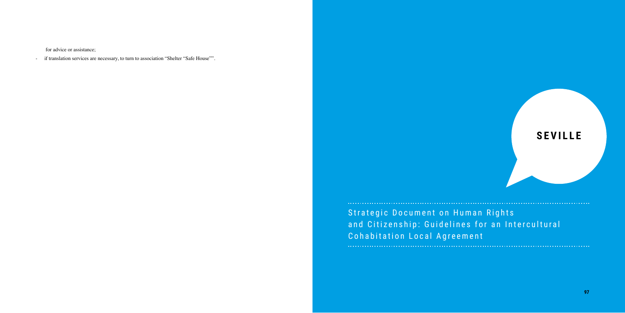for advice or assistance;

- if translation services are necessary, to turn to association "Shelter "Safe House"".



Strategic Document on Human Rights and Citizenship: Guidelines for an Intercultural Cohabitation Local Agreement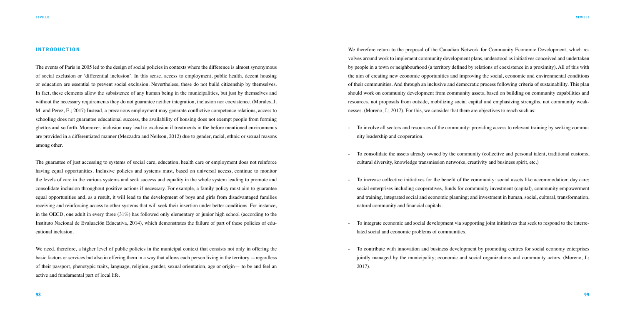#### **I N T R O D U C T I O N**

The events of Paris in 2005 led to the design of social policies in contexts where the difference is almost synonymous of social exclusion or 'differential inclusion'. In this sense, access to employment, public health, decent housing or education are essential to prevent social exclusion. Nevertheless, these do not build citizenship by themselves. In fact, these elements allow the subsistence of any human being in the municipalities, but just by themselves and without the necessary requirements they do not guarantee neither integration, inclusion nor coexistence. (Morales, J. M. and Perez, E.; 2017) Instead, a precarious employment may generate conflictive competence relations, access to schooling does not guarantee educational success, the availability of housing does not exempt people from forming ghettos and so forth. Moreover, inclusion may lead to exclusion if treatments in the before mentioned environments are provided in a differentiated manner (Mezzadra and Neilson, 2012) due to gender, racial, ethnic or sexual reasons among other.

We need, therefore, a higher level of public policies in the municipal context that consists not only in offering the basic factors or services but also in offering them in a way that allows each person living in the territory —regardless of their passport, phenotypic traits, language, religion, gender, sexual orientation, age or origin— to be and feel an active and fundamental part of local life.

The guarantee of just accessing to systems of social care, education, health care or employment does not reinforce having equal opportunities. Inclusive policies and systems must, based on universal access, continue to monitor the levels of care in the various systems and seek success and equality in the whole system leading to promote and consolidate inclusion throughout positive actions if necessary. For example, a family policy must aim to guarantee equal opportunities and, as a result, it will lead to the development of boys and girls from disadvantaged families receiving and reinforcing access to other systems that will seek their insertion under better conditions. For instance, in the OECD, one adult in every three (31%) has followed only elementary or junior high school (according to the Instituto Nacional de Evaluación Educativa, 2014), which demonstrates the failure of part of these policies of educational inclusion.

We therefore return to the proposal of the Canadian Network for Community Economic Development, which revolves around work to implement community development plans, understood as initiatives conceived and undertaken by people in a town or neighbourhood (a territory defined by relations of coexistence in a proximity). All of this with the aim of creating new economic opportunities and improving the social, economic and environmental conditions of their communities. And through an inclusive and democratic process following criteria of sustainability. This plan should work on community development from community assets, based on building on community capabilities and resources, not proposals from outside, mobilizing social capital and emphasizing strengths, not community weaknesses. (Moreno, J.; 2017). For this, we consider that there are objectives to reach such as:

- To involve all sectors and resources of the community: providing access to relevant training by seeking commu-

- To consolidate the assets already owned by the community (collective and personal talent, traditional customs,

- To increase collective initiatives for the benefit of the community: social assets like accommodation; day care; social enterprises including cooperatives, funds for community investment (capital), community empowerment and training, integrated social and economic planning; and investment in human, social, cultural, transformation,

- nity leadership and cooperation.
- cultural diversity, knowledge transmission networks, creativity and business spirit, etc.)
- natural community and financial capitals.
- lated social and economic problems of communities.
- 2017).

- To integrate economic and social development via supporting joint initiatives that seek to respond to the interre-

- To contribute with innovation and business development by promoting centres for social economy enterprises jointly managed by the municipality; economic and social organizations and community actors. (Moreno, J.;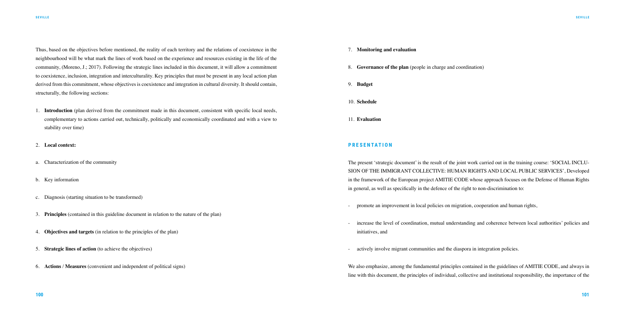Thus, based on the objectives before mentioned, the reality of each territory and the relations of coexistence in the neighbourhood will be what mark the lines of work based on the experience and resources existing in the life of the community, (Moreno, J.; 2017). Following the strategic lines included in this document, it will allow a commitment to coexistence, inclusion, integration and interculturality. Key principles that must be present in any local action plan derived from this commitment, whose objectives is coexistence and integration in cultural diversity. It should contain, structurally, the following sections:

- promote an improvement in local policies on migration, cooperation and human rights,
- initiatives, and
- actively involve migrant communities and the diaspora in integration policies.
- 1. **Introduction** (plan derived from the commitment made in this document, consistent with specific local needs, complementary to actions carried out, technically, politically and economically coordinated and with a view to stability over time)
- 2. **Local context:**
- a. Characterization of the community
- b. Key information
- c. Diagnosis (starting situation to be transformed)
- 3. **Principles** (contained in this guideline document in relation to the nature of the plan)
- 4. **Objectives and targets** (in relation to the principles of the plan)
- 5. **Strategic lines of action** (to achieve the objectives)
- 6. **Actions** / **Measures** (convenient and independent of political signs)

- 7. **Monitoring and evaluation**
- 8. **Governance of the plan** (people in charge and coordination)
- 9. **Budget**
- 10. **Schedule**
- 11. **Evaluation**

#### **P R E S E N TAT I O N**

The present 'strategic document' is the result of the joint work carried out in the training course: 'SOCIAL INCLU-SION OF THE IMMIGRANT COLLECTIVE: HUMAN RIGHTS AND LOCAL PUBLIC SERVICES', Developed in the framework of the European project AMITIE CODE whose approach focuses on the Defense of Human Rights in general, as well as specifically in the defence of the right to non-discrimination to:

- increase the level of coordination, mutual understanding and coherence between local authorities' policies and

We also emphasize, among the fundamental principles contained in the guidelines of AMITIE CODE, and always in line with this document, the principles of individual, collective and institutional responsibility, the importance of the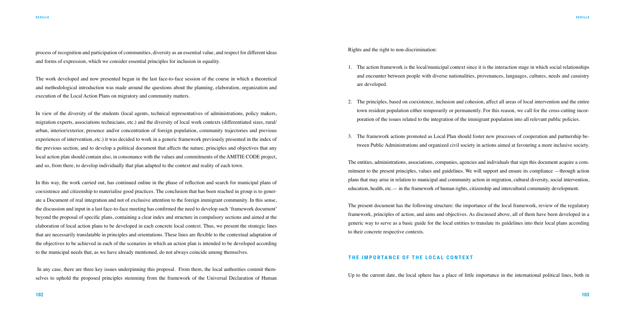process of recognition and participation of communities, diversity as an essential value, and respect for different ideas and forms of expression, which we consider essential principles for inclusion in equality.

The work developed and now presented began in the last face-to-face session of the course in which a theoretical and methodological introduction was made around the questions about the planning, elaboration, organization and execution of the Local Action Plans on migratory and community matters.

In view of the diversity of the students (local agents, technical representatives of administrations, policy makers, migration experts, associations technicians, etc.) and the diversity of local work contexts (differentiated sizes, rural/ urban, interior/exterior, presence and/or concentration of foreign population, community trajectories and previous experiences of intervention, etc.) it was decided to work in a generic framework previously presented in the index of the previous section, and to develop a political document that affects the nature, principles and objectives that any local action plan should contain also, in consonance with the values and commitments of the AMITIE CODE project, and so, from there, to develop individually that plan adapted to the context and reality of each town.

In this way, the work carried out, has continued online in the phase of reflection and search for municipal plans of coexistence and citizenship to materialise good practices. The conclusion that has been reached in group is to generate a Document of real integration and not of exclusive attention to the foreign immigrant community. In this sense, the discussion and input in a last face-to-face meeting has confirmed the need to develop such 'framework document' beyond the proposal of specific plans, containing a clear index and structure in compulsory sections and aimed at the elaboration of local action plans to be developed in each concrete local context. Thus, we present the strategic lines that are necessarily translatable in principles and orientations. These lines are flexible to the contextual adaptation of the objectives to be achieved in each of the scenarios in which an action plan is intended to be developed according to the municipal needs that, as we have already mentioned, do not always coincide among themselves.

 In any case, there are three key issues underpinning this proposal. From them, the local authorities commit themselves to uphold the proposed principles stemming from the framework of the Universal Declaration of Human Rights and the right to non-discrimination:

1. The action framework is the local/municipal context since it is the interaction stage in which social relationships and encounter between people with diverse nationalities, provenances, languages, cultures, needs and casuistry

2. The principles, based on coexistence, inclusion and cohesion, affect all areas of local intervention and the entire town resident population either temporarily or permanently. For this reason, we call for the cross-cutting incor-

- are developed.
- poration of the issues related to the integration of the immigrant population into all relevant public policies.
- 3. The framework actions promoted as Local Plan should foster new processes of cooperation and partnership be-

tween Public Administrations and organized civil society in actions aimed at favouring a more inclusive society.

The entities, administrations, associations, companies, agencies and individuals that sign this document acquire a commitment to the present principles, values and guidelines. We will support and ensure its compliance —through action plans that may arise in relation to municipal and community action in migration, cultural diversity, social intervention, education, health, etc.— in the framework of human rights, citizenship and intercultural community development.

The present document has the following structure: the importance of the local framework, review of the regulatory framework, principles of action, and aims and objectives. As discussed above, all of them have been developed in a generic way to serve as a basic guide for the local entities to translate its guidelines into their local plans according to their concrete respective contexts.

#### **THE IMPORTANCE OF THE LOCAL CONTEXT**

Up to the current date, the local sphere has a place of little importance in the international political lines, both in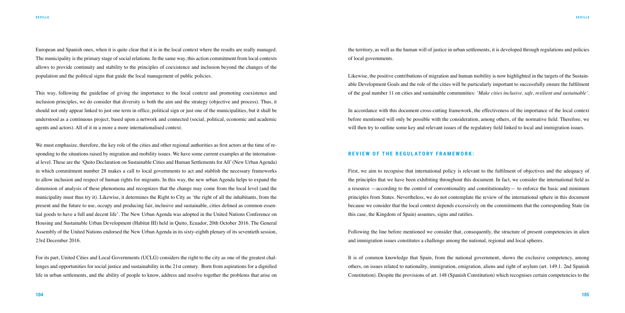European and Spanish ones, when it is quite clear that it is in the local context where the results are really managed. The municipality is the primary stage of social relations. In the same way, this action commitment from local contexts allows to provide continuity and stability to the principles of coexistence and inclusion beyond the changes of the population and the political signs that guide the local management of public policies.

This way, following the guideline of giving the importance to the local context and promoting coexistence and inclusion principles, we do consider that diversity is both the aim and the strategy (objective and process). Thus, it should not only appear linked to just one term in office, political sign or just one of the municipalities, but it shall be understood as a continuous project, based upon a network and connected (social, political, economic and academic agents and actors). All of it in a more a more internationalised context.

We must emphasize, therefore, the key role of the cities and other regional authorities as first actors at the time of responding to the situations raised by migration and mobility issues. We have some current examples at the international level. These are the 'Quito Declaration on Sustainable Cities and Human Settlements for All' (New Urban Agenda) in which commitment number 28 makes a call to local governments to act and stablish the necessary frameworks to allow inclusion and respect of human rights for migrants. In this way, the new urban Agenda helps to expand the dimension of analysis of these phenomena and recognizes that the change may come from the local level (and the municipality must thus try it). Likewise, it determines the Right to City as 'the right of all the inhabitants, from the present and the future to use, occupy and producing fair, inclusive and sustainable, cities defined as common essential goods to have a full and decent life'. The New Urban Agenda was adopted in the United Nations Conference on Housing and Sustainable Urban Development (Habitat III) held in Quito, Ecuador, 20th October 2016. The General Assembly of the United Nations endorsed the New Urban Agenda in its sixty-eighth plenary of its seventieth session, 23rd December 2016.

For its part, United Cities and Local Governments (UCLG) considers the right to the city as one of the greatest challenges and opportunities for social justice and sustainability in the 21st century. Born from aspirations for a dignified life in urban settlements, and the ability of people to know, address and resolve together the problems that arise on

the territory, as well as the human will of justice in urban settlements, it is developed through regulations and policies of local governments.

Likewise, the positive contributions of migration and human mobility is now highlighted in the targets of the Sustainable Development Goals and the role of the cities will be particularly important to successfully ensure the fulfilment of the goal number 11 on cities and sustainable communities: *'Make cities inclusive, safe, resilient and sustainable'*.

In accordance with this document cross-cutting framework, the effectiveness of the importance of the local context before mentioned will only be possible with the consideration, among others, of the normative field. Therefore, we will then try to outline some key and relevant issues of the regulatory field linked to local and immigration issues.

#### **REVIEW OF THE REGULATORY FRAMEWORK:**

First, we aim to recognise that international policy is relevant to the fulfilment of objectives and the adequacy of the principles that we have been exhibiting throughout this document. In fact, we consider the international field as a resource —according to the control of conventionality and constitutionality— to enforce the basic and minimum principles from States. Nevertheless, we do not contemplate the review of the international sphere in this document because we consider that the local context depends excessively on the commitments that the corresponding State (in this case, the Kingdom of Spain) assumes, signs and ratifies.

Following the line before mentioned we consider that, consequently, the structure of present competencies in alien and immigration issues constitutes a challenge among the national, regional and local spheres.

It is of common knowledge that Spain, from the national government, shows the exclusive competency, among others, on issues related to nationality, immigration, emigration, aliens and right of asylum (art. 149.1. 2nd Spanish Constitution). Despite the provisions of art. 148 (Spanish Constitution) which recognises certain competencies to the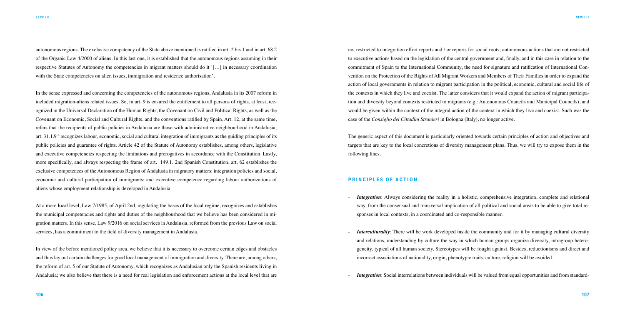autonomous regions. The exclusive competency of the State above mentioned is ratified in art. 2 bis.1 and in art. 68.2 of the Organic Law 4/2000 of aliens. In this last one, it is established that the autonomous regions assuming in their respective Statutes of Autonomy the competencies in migrant matters should do it '[…] in necessary coordination with the State competencies on alien issues, immigration and residence authorisation'.

In the sense expressed and concerning the competencies of the autonomous regions, Andalusia in its 2007 reform in included migration-aliens related issues. So, in art. 9 is ensured the entitlement to all persons of rights, at least, recognized in the Universal Declaration of the Human Rights, the Covenant on Civil and Political Rights, as well as the Covenant on Economic, Social and Cultural Rights, and the conventions ratified by Spain. Art. 12, at the same time, refers that the recipients of public policies in Andalusia are those with administrative neighbourhood in Andalusia; art. 31.1.9 º recognizes labour, economic, social and cultural integration of immigrants as the guiding principles of its public policies and guarantee of rights. Article 42 of the Statute of Autonomy establishes, among others, legislative and executive competencies respecting the limitations and prerogatives in accordance with the Constitution. Lastly, more specifically, and always respecting the frame of art. 149.1. 2nd Spanish Constitution, art. 62 establishes the exclusive competences of the Autonomous Region of Andalusia in migratory matters: integration policies and social, economic and cultural participation of immigrants; and executive competence regarding labour authorizations of aliens whose employment relationship is developed in Andalusia.

At a more local level, Law 7/1985, of April 2nd, regulating the bases of the local regime, recognizes and establishes the municipal competencies and rights and duties of the neighbourhood that we believe has been considered in migration matters. In this sense, Law 9/2016 on social services in Andalusia, reformed from the previous Law on social services, has a commitment to the field of diversity management in Andalusia.

*Integration*: Always considering the reality in a holistic, comprehensive integration, complete and relational way, from the consensual and transversal implication of all political and social areas to be able to give total re-

*Interculturality*: There will be work developed inside the community and for it by managing cultural diversity and relations, understanding by culture the way in which human groups organize diversity, intragroup heterogeneity, typical of all human society. Stereotypes will be fought against. Besides, reductionisms and direct and

*Integration*: Social interrelations between individuals will be valued from equal opportunities and from standard-

In view of the before mentioned policy area, we believe that it is necessary to overcome certain edges and obstacles and thus lay out certain challenges for good local management of immigration and diversity. There are, among others, the reform of art. 5 of our Statute of Autonomy, which recognizes as Andalusian only the Spanish residents living in Andalusia; we also believe that there is a need for real legislation and enforcement actions at the local level that are

not restricted to integration effort reports and / or reports for social roots; autonomous actions that are not restricted to executive actions based on the legislation of the central government and, finally, and in this case in relation to the commitment of Spain to the International Community, the need for signature and ratification of International Convention on the Protection of the Rights of All Migrant Workers and Members of Their Families in order to expand the action of local governments in relation to migrant participation in the political, economic, cultural and social life of the contexts in which they live and coexist. The latter considers that it would expand the action of migrant participation and diversity beyond contexts restricted to migrants (e.g.: Autonomous Councils and Municipal Councils), and would be given within the context of the integral action of the context in which they live and coexist. Such was the case of the *Consiglio dei Cittadini Stranieri* in Bologna (Italy), no longer active.

The generic aspect of this document is particularly oriented towards certain principles of action and objectives and targets that are key to the local concretions of diversity management plans. Thus, we will try to expose them in the following lines.

#### **PRINCIPLES OF ACTION**

- sponses in local contexts, in a coordinated and co-responsible manner.
- incorrect associations of nationality, origin, phenotypic traits, culture, religion will be avoided.
-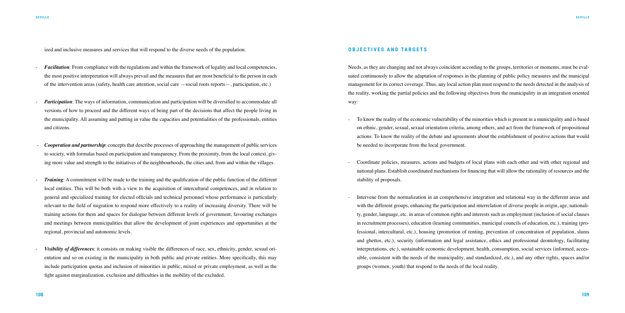ized and inclusive measures and services that will respond to the diverse needs of the population.

- *Facilitation*: From compliance with the regulations and within the framework of legality and local competencies, the most positive interpretation will always prevail and the measures that are most beneficial to the person in each of the intervention areas (safety, health care attention, social care —social roots reports—, participation, etc.)
- *Participation*: The ways of information, communication and participation will be diversified to accommodate all versions of how to proceed and the different ways of being part of the decisions that affect the people living in the municipality. All assuming and putting in value the capacities and potentialities of the professionals, entities and citizens.
- *Cooperation and partnership*: concepts that describe processes of approaching the management of public services to society, with formulas based on participation and transparency. From the proximity, from the local context, giving more value and strength to the initiatives of the neighbourhoods, the cities and, from and within the villages.
- *Training*: A commitment will be made to the training and the qualification of the public function of the different local entities. This will be both with a view to the acquisition of intercultural competences, and in relation to general and specialized training for elected officials and technical personnel whose performance is particularly relevant to the field of migration to respond more effectively to a reality of increasing diversity. There will be training actions for them and spaces for dialogue between different levels of government, favouring exchanges and meetings between municipalities that allow the development of joint experiences and opportunities at the regional, provincial and autonomic levels.
- *Visibility of differences*: it consists on making visible the differences of race, sex, ethnicity, gender, sexual orientation and so on existing in the municipality in both public and private entities. More specifically, this may include participation quotas and inclusion of minorities in public, mixed or private employment, as well as the fight against marginalization, exclusion and difficulties in the mobility of the excluded.

#### **OBJECTIVES AND TARGETS**

Needs, as they are changing and not always coincident according to the groups, territories or moments, must be evaluated continuously to allow the adaptation of responses in the planning of public policy measures and the municipal management for its correct coverage. Thus, any local action plan must respond to the needs detected in the analysis of the reality, working the partial policies and the following objectives from the municipality in an integration oriented way:

on ethnic, gender, sexual, sexual orientation criteria, among others, and act from the framework of propositional actions. To know the reality of the debate and agreements about the establishment of positive actions that would

- Coordinate policies, measures, actions and budgets of local plans with each other and with other regional and national plans. Establish coordinated mechanisms for financing that will allow the rationality of resources and the

- To know the reality of the economic vulnerability of the minorities which is present in a municipality and is based be needed to incorporate from the local government.
- stability of proposals.
- Intervene from the normalization in an comprehensive integration and relational way in the different areas and groups (women, youth) that respond to the needs of the local reality.

with the different groups, enhancing the participation and interrelation of diverse people in origin, age, nationality, gender, language, etc. in areas of common rights and interests such as employment (inclusion of social clauses in recruitment processes), education (learning communities, municipal councils of education, etc.), training (professional, intercultural, etc.), housing (promotion of renting, prevention of concentration of population, slums and ghettos, etc.), security (information and legal assistance, ethics and professional deontology, facilitating interpretations, etc.), sustainable economic development, health, consumption, social services (informed, accessible, consistent with the needs of the municipality, and standardized, etc.), and any other rights, spaces and/or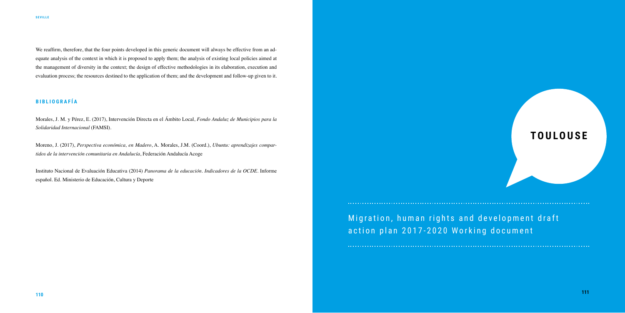We reaffirm, therefore, that the four points developed in this generic document will always be effective from an adequate analysis of the context in which it is proposed to apply them; the analysis of existing local policies aimed at the management of diversity in the context; the design of effective methodologies in its elaboration, execution and evaluation process; the resources destined to the application of them; and the development and follow-up given to it.

## **B I B L I O G R A F Í A**

Morales, J. M. y Pérez, E. (2017), Intervención Directa en el Ámbito Local, *Fondo Andaluz de Municipios para la Solidaridad Internacional* (FAMSI).

Moreno, J. (2017), *Perspectiva económica, en Madero*, A. Morales, J.M. (Coord.), *Ubuntu: aprendizajes compartidos de la intervención comunitaria en Andalucía*, Federación Andalucía Acoge

Instituto Nacional de Evaluación Educativa (2014) *Panorama de la educación. Indicadores de la OCDE*. Informe español. Ed. Ministerio de Educación, Cultura y Deporte

# **TOULOUSE**

Migration, human rights and development draft action plan 2017-2020 Working document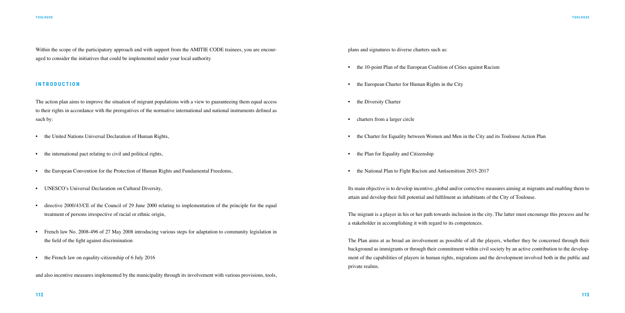Within the scope of the participatory approach and with support from the AMITIE CODE trainees, you are encouraged to consider the initiatives that could be implemented under your local authority

#### **INTRODUCTION**

- the United Nations Universal Declaration of Human Rights,
- the international pact relating to civil and political rights,
- the European Convention for the Protection of Human Rights and Fundamental Freedoms,
- UNESCO's Universal Declaration on Cultural Diversity,
- directive 2000/43/CE of the Council of 29 June 2000 relating to implementation of the principle for the equal treatment of persons irrespective of racial or ethnic origin,
- French law No. 2008-496 of 27 May 2008 introducing various steps for adaptation to community legislation in the field of the fight against discrimination
- the French law on equality-citizenship of 6 July 2016

The action plan aims to improve the situation of migrant populations with a view to guaranteeing them equal access to their rights in accordance with the prerogatives of the normative international and national instruments defined as such by:

and also incentive measures implemented by the municipality through its involvement with various provisions, tools,

plans and signatures to diverse charters such as:

- the 10-point Plan of the European Coalition of Cities against Racism
- the European Charter for Human Rights in the City
- the Diversity Charter
- charters from a larger circle
- the Charter for Equality between Women and Men in the City and its Toulouse Action Plan
- the Plan for Equality and Citizenship
- the National Plan to Fight Racism and Antisemitism 2015-2017

Its main objective is to develop incentive, global and/or corrective measures aiming at migrants and enabling them to attain and develop their full potential and fulfilment as inhabitants of the City of Toulouse.

The migrant is a player in his or her path towards inclusion in the city. The latter must encourage this process and be a stakeholder in accomplishing it with regard to its competences.

The Plan aims at as broad an involvement as possible of all the players, whether they be concerned through their background as immigrants or through their commitment within civil society by an active contribution to the development of the capabilities of players in human rights, migrations and the development involved both in the public and private realms.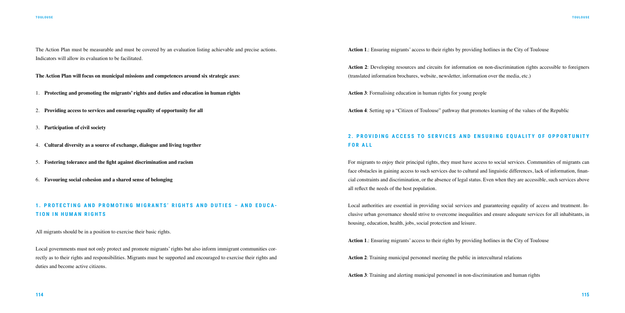The Action Plan must be measurable and must be covered by an evaluation listing achievable and precise actions. Indicators will allow its evaluation to be facilitated.

**The Action Plan will focus on municipal missions and competences around six strategic axes**:

1. **Protecting and promoting the migrants' rights and duties and education in human rights**

- 2. **Providing access to services and ensuring equality of opportunity for all**
- 3. **Participation of civil society**
- 4. **Cultural diversity as a source of exchange, dialogue and living together**
- 5. **Fostering tolerance and the fight against discrimination and racism**
- 6. **Favouring social cohesion and a shared sense of belonging**

Local governments must not only protect and promote migrants' rights but also inform immigrant communities correctly as to their rights and responsibilities. Migrants must be supported and encouraged to exercise their rights and duties and become active citizens.

## **1. PROTECTING AND PROMOTING MIGRANTS' RIGHTS AND DUTIES – AND EDUCA - TION IN HUMAN RIGHTS**

All migrants should be in a position to exercise their basic rights.

## **2. PROVIDING ACCESS TO SERVICES AND ENSURING EOUALITY OF OPPORTUNITY FOR ALL**

**Action 1**.: Ensuring migrants' access to their rights by providing hotlines in the City of Toulouse

**Action 2**: Developing resources and circuits for information on non-discrimination rights accessible to foreigners (translated information brochures, website, newsletter, information over the media, etc.)

**Action 3**: Formalising education in human rights for young people

**Action 4**: Setting up a "Citizen of Toulouse" pathway that promotes learning of the values of the Republic

For migrants to enjoy their principal rights, they must have access to social services. Communities of migrants can face obstacles in gaining access to such services due to cultural and linguistic differences, lack of information, financial constraints and discrimination, or the absence of legal status. Even when they are accessible, such services above all reflect the needs of the host population.

Local authorities are essential in providing social services and guaranteeing equality of access and treatment. Inclusive urban governance should strive to overcome inequalities and ensure adequate services for all inhabitants, in housing, education, health, jobs, social protection and leisure.

**Action 1**.: Ensuring migrants' access to their rights by providing hotlines in the City of Toulouse **Action 2**: Training municipal personnel meeting the public in intercultural relations **Action 3**: Training and alerting municipal personnel in non-discrimination and human rights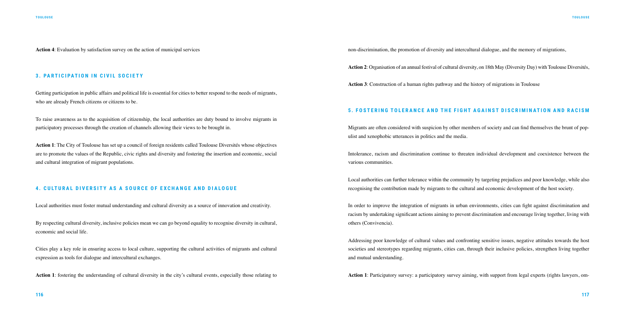**Action 4**: Evaluation by satisfaction survey on the action of municipal services

#### **3. PARTICIPATION IN CIVIL SOCIETY**

Getting participation in public affairs and political life is essential for cities to better respond to the needs of migrants, who are already French citizens or citizens to be.

To raise awareness as to the acquisition of citizenship, the local authorities are duty bound to involve migrants in participatory processes through the creation of channels allowing their views to be brought in.

**Action 1**: The City of Toulouse has set up a council of foreign residents called Toulouse Diversités whose objectives are to promote the values of the Republic, civic rights and diversity and fostering the insertion and economic, social and cultural integration of migrant populations.

#### **4. CULTURAL DIVERSITY AS A SOURCE OF EXCHANGE AND DIALOGUE**

Local authorities must foster mutual understanding and cultural diversity as a source of innovation and creativity.

By respecting cultural diversity, inclusive policies mean we can go beyond equality to recognise diversity in cultural, economic and social life.

Cities play a key role in ensuring access to local culture, supporting the cultural activities of migrants and cultural expression as tools for dialogue and intercultural exchanges.

**Action 1**: fostering the understanding of cultural diversity in the city's cultural events, especially those relating to

non-discrimination, the promotion of diversity and intercultural dialogue, and the memory of migrations,

**Action 2**: Organisation of an annual festival of cultural diversity, on 18th May (Diversity Day) with Toulouse Diversités,

**Action 3**: Construction of a human rights pathway and the history of migrations in Toulouse

#### **5. FOSTERING TOLERANCE AND THE FIGHT AGAINST DISCRIMINATION AND RACISM**

Migrants are often considered with suspicion by other members of society and can find themselves the brunt of populist and xenophobic utterances in politics and the media.

Intolerance, racism and discrimination continue to threaten individual development and coexistence between the various communities.

Local authorities can further tolerance within the community by targeting prejudices and poor knowledge, while also recognising the contribution made by migrants to the cultural and economic development of the host society.

In order to improve the integration of migrants in urban environments, cities can fight against discrimination and racism by undertaking significant actions aiming to prevent discrimination and encourage living together, living with others (Convivencia).

Addressing poor knowledge of cultural values and confronting sensitive issues, negative attitudes towards the host societies and stereotypes regarding migrants, cities can, through their inclusive policies, strengthen living together and mutual understanding.

**Action 1**: Participatory survey: a participatory survey aiming, with support from legal experts (rights lawyers, om-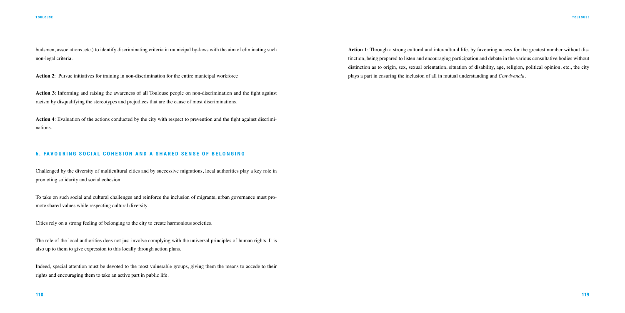budsmen, associations, etc.) to identify discriminating criteria in municipal by-laws with the aim of eliminating such non-legal criteria.

**Action 2**: Pursue initiatives for training in non-discrimination for the entire municipal workforce

**Action 3**: Informing and raising the awareness of all Toulouse people on non-discrimination and the fight against racism by disqualifying the stereotypes and prejudices that are the cause of most discriminations.

**Action 4**: Evaluation of the actions conducted by the city with respect to prevention and the fight against discriminations.

#### **6. FAVOURING SOCIAL COHESION AND A SHARED SENSE OF BELONGING**

Challenged by the diversity of multicultural cities and by successive migrations, local authorities play a key role in promoting solidarity and social cohesion.

To take on such social and cultural challenges and reinforce the inclusion of migrants, urban governance must promote shared values while respecting cultural diversity.

Cities rely on a strong feeling of belonging to the city to create harmonious societies.

The role of the local authorities does not just involve complying with the universal principles of human rights. It is also up to them to give expression to this locally through action plans.

Indeed, special attention must be devoted to the most vulnerable groups, giving them the means to accede to their rights and encouraging them to take an active part in public life.

**Action 1**: Through a strong cultural and intercultural life, by favouring access for the greatest number without distinction, being prepared to listen and encouraging participation and debate in the various consultative bodies without distinction as to origin, sex, sexual orientation, situation of disability, age, religion, political opinion, etc., the city plays a part in ensuring the inclusion of all in mutual understanding and *Convivencia.*